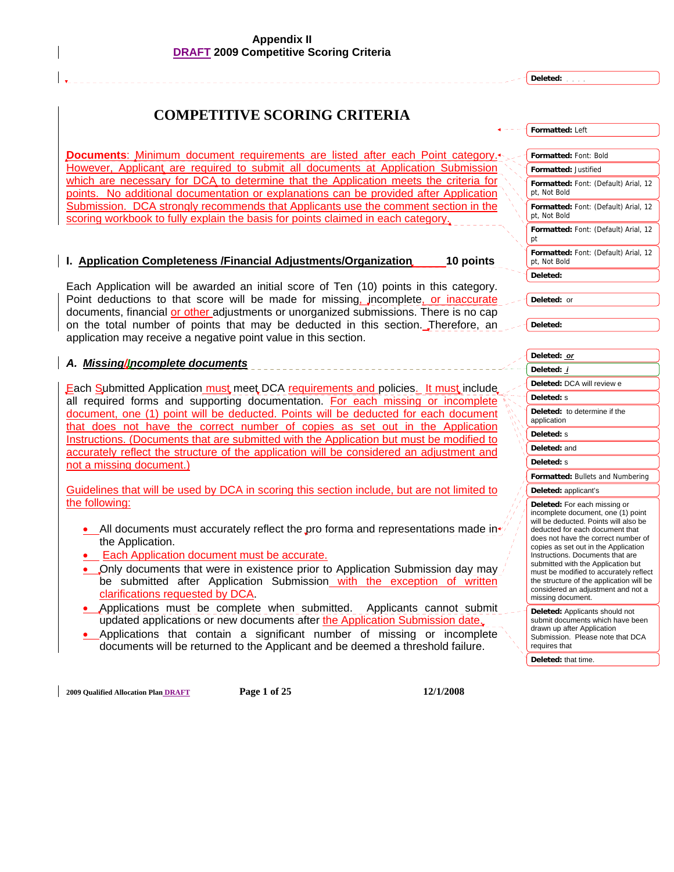**Deleted:** 

## **COMPETITIVE SCORING CRITERIA**

**Documents**: Minimum document requirements are listed after each Point category. However, Applicant are required to submit all documents at Application Submission which are necessary for DCA to determine that the Application meets the criteria for points. No additional documentation or explanations can be provided after Application Submission. DCA strongly recommends that Applicants use the comment section in the scoring workbook to fully explain the basis for points claimed in each category.

#### **I. Application Completeness /Financial Adjustments/Organization 10 points**

Each Application will be awarded an initial score of Ten (10) points in this category. Point deductions to that score will be made for missing, incomplete, or inaccurate documents, financial or other adjustments or unorganized submissions. There is no cap on the total number of points that may be deducted in this section. Therefore, an application may receive a negative point value in this section.

#### *A. Missing/Incomplete documents*

Each Submitted Application must meet DCA requirements and policies. It must include all required forms and supporting documentation. For each missing or incomplete document, one (1) point will be deducted. Points will be deducted for each document that does not have the correct number of copies as set out in the Application Instructions. (Documents that are submitted with the Application but must be modified to accurately reflect the structure of the application will be considered an adjustment and not a missing document.)

Guidelines that will be used by DCA in scoring this section include, but are not limited to the following:

- All documents must accurately reflect the pro forma and representations made in $\cdot$ the Application.
- Each Application document must be accurate.
- Only documents that were in existence prior to Application Submission day may be submitted after Application Submission with the exception of written clarifications requested by DCA.
- Applications must be complete when submitted. Applicants cannot submit updated applications or new documents after the Application Submission date.
- Applications that contain a significant number of missing or incomplete documents will be returned to the Applicant and be deemed a threshold failure.

**2009 Qualified Allocation Plan DRAFT Page 1 of 25 12/1/2008** 

| Formatted: Left                                                                                                                                                                                                                                                                                                                                                                                                                                          |                      |
|----------------------------------------------------------------------------------------------------------------------------------------------------------------------------------------------------------------------------------------------------------------------------------------------------------------------------------------------------------------------------------------------------------------------------------------------------------|----------------------|
| Formatted: Font: Bold                                                                                                                                                                                                                                                                                                                                                                                                                                    |                      |
| Formatted: Justified                                                                                                                                                                                                                                                                                                                                                                                                                                     |                      |
| Formatted: Font: (Default) Arial, 12<br>pt, Not Bold                                                                                                                                                                                                                                                                                                                                                                                                     |                      |
| Formatted: Font: (Default) Arial, 12<br>pt, Not Bold                                                                                                                                                                                                                                                                                                                                                                                                     |                      |
| Formatted: Font: (Default) Arial, 12<br>рt                                                                                                                                                                                                                                                                                                                                                                                                               |                      |
| Formatted: Font: (Default) Arial, 12<br>pt, Not Bold                                                                                                                                                                                                                                                                                                                                                                                                     |                      |
| Deleted:                                                                                                                                                                                                                                                                                                                                                                                                                                                 |                      |
| Deleted:<br>or                                                                                                                                                                                                                                                                                                                                                                                                                                           |                      |
| Deleted:                                                                                                                                                                                                                                                                                                                                                                                                                                                 |                      |
| Deleted:<br>or                                                                                                                                                                                                                                                                                                                                                                                                                                           |                      |
| Deleted:<br>i                                                                                                                                                                                                                                                                                                                                                                                                                                            |                      |
| Deleted: DCA will review e                                                                                                                                                                                                                                                                                                                                                                                                                               |                      |
| Deleted: s                                                                                                                                                                                                                                                                                                                                                                                                                                               |                      |
| Deleted: to determine if the<br>application                                                                                                                                                                                                                                                                                                                                                                                                              |                      |
| Deleted: s                                                                                                                                                                                                                                                                                                                                                                                                                                               |                      |
| Deleted: and                                                                                                                                                                                                                                                                                                                                                                                                                                             |                      |
| Deleted: s                                                                                                                                                                                                                                                                                                                                                                                                                                               |                      |
| <b>Formatted: Bullets and Numbering</b>                                                                                                                                                                                                                                                                                                                                                                                                                  |                      |
| Deleted: applicant's                                                                                                                                                                                                                                                                                                                                                                                                                                     |                      |
| Deleted: For each missing or<br>incomplete document, one (1) point<br>will be deducted. Points will also be<br>deducted for each document that<br>does not have the correct number of<br>copies as set out in the Application<br>Instructions. Documents that are<br>submitted with the Application but<br>must be modified to accurately reflect<br>the structure of the application will be<br>considered an adjustment and not a<br>missing document. |                      |
| Deleted: Applicants should not<br>submit documents which have been<br>drawn up after Application<br>Submission.<br>requires that                                                                                                                                                                                                                                                                                                                         | Please note that DCA |
| Deleted: that time.                                                                                                                                                                                                                                                                                                                                                                                                                                      |                      |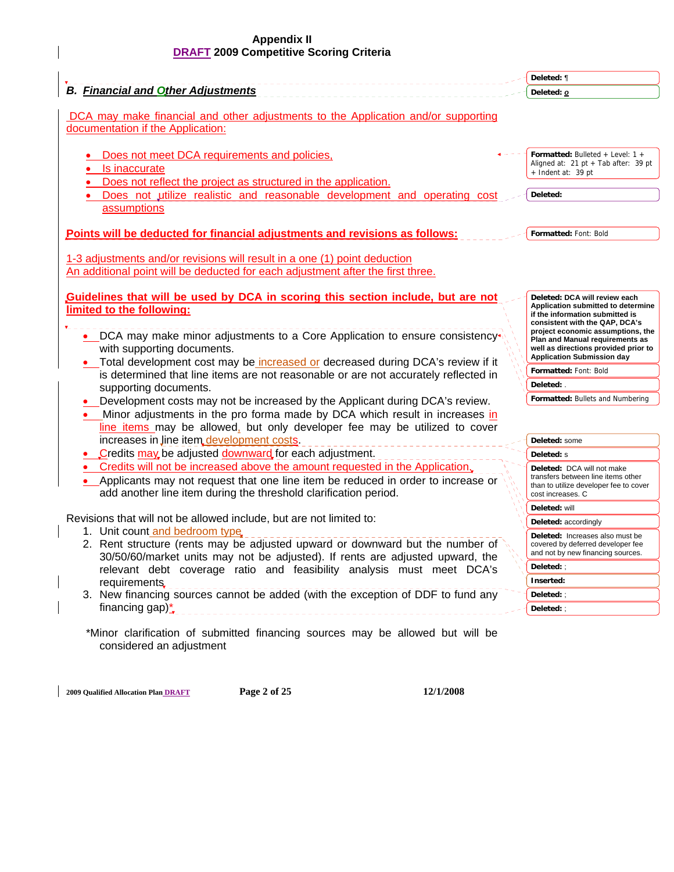|                                                                                                                                                                                                                                      | Deleted: ¶                                                                                                                                                                    |
|--------------------------------------------------------------------------------------------------------------------------------------------------------------------------------------------------------------------------------------|-------------------------------------------------------------------------------------------------------------------------------------------------------------------------------|
| <b>B.</b> Financial and Other Adjustments                                                                                                                                                                                            | Deleted: <b>o</b>                                                                                                                                                             |
| DCA may make financial and other adjustments to the Application and/or supporting<br>documentation if the Application:                                                                                                               |                                                                                                                                                                               |
| Does not meet DCA requirements and policies,<br>Is inaccurate<br>Does not reflect the project as structured in the application.<br>Does not utilize realistic and reasonable development and operating cost                          | <b>Formatted:</b> Bulleted + Level: $1 +$<br>Aligned at: 21 pt + Tab after: 39 pt<br>+ Indent at: 39 pt<br>Deleted:                                                           |
| assumptions                                                                                                                                                                                                                          |                                                                                                                                                                               |
| Points will be deducted for financial adjustments and revisions as follows:                                                                                                                                                          | Formatted: Font: Bold                                                                                                                                                         |
| 1-3 adjustments and/or revisions will result in a one (1) point deduction<br>An additional point will be deducted for each adjustment after the first three.                                                                         |                                                                                                                                                                               |
| Guidelines that will be used by DCA in scoring this section include, but are not<br>limited to the following:<br>• DCA may make minor adjustments to a Core Application to ensure consistency                                        | Deleted: DCA will review each<br>Application submitted to determine<br>if the information submitted is<br>consistent with the QAP, DCA's<br>project economic assumptions, the |
| with supporting documents.<br>• Total development cost may be increased or decreased during DCA's review if it                                                                                                                       | Plan and Manual requirements as<br>well as directions provided prior to<br><b>Application Submission day</b>                                                                  |
| is determined that line items are not reasonable or are not accurately reflected in                                                                                                                                                  | Formatted: Font: Bold                                                                                                                                                         |
| supporting documents.                                                                                                                                                                                                                | Deleted: .                                                                                                                                                                    |
| Development costs may not be increased by the Applicant during DCA's review.                                                                                                                                                         | Formatted: Bullets and Numbering                                                                                                                                              |
| Minor adjustments in the pro forma made by DCA which result in increases in<br>line items may be allowed, but only developer fee may be utilized to cover                                                                            |                                                                                                                                                                               |
| increases in line item development costs.                                                                                                                                                                                            | Deleted: some                                                                                                                                                                 |
| Credits may be adjusted downward for each adjustment.                                                                                                                                                                                | Deleted: s                                                                                                                                                                    |
| Credits will not be increased above the amount requested in the Application.<br>Applicants may not request that one line item be reduced in order to increase or<br>add another line item during the threshold clarification period. | Deleted: DCA will not make<br>transfers between line items other<br>than to utilize developer fee to cover<br>cost increases. C                                               |
|                                                                                                                                                                                                                                      | Deleted: will                                                                                                                                                                 |
| Revisions that will not be allowed include, but are not limited to:                                                                                                                                                                  | Deleted: accordingly                                                                                                                                                          |
| 1. Unit count and bedroom type.<br>2. Rent structure (rents may be adjusted upward or downward but the number of<br>30/50/60/market units may not be adjusted). If rents are adjusted upward, the                                    | Deleted: Increases also must be<br>covered by deferred developer fee<br>and not by new financing sources.                                                                     |
| relevant debt coverage ratio and feasibility analysis must meet DCA's                                                                                                                                                                | Deleted: $\mathcal{C}$                                                                                                                                                        |
| requirements.                                                                                                                                                                                                                        | Inserted:                                                                                                                                                                     |
| 3. New financing sources cannot be added (with the exception of DDF to fund any                                                                                                                                                      | Deleted: :                                                                                                                                                                    |
| financing gap) $\dot{ }$                                                                                                                                                                                                             | Deleted:;                                                                                                                                                                     |

**2009 Qualified Allocation Plan DRAFT Page 2 of 25 12/1/2008**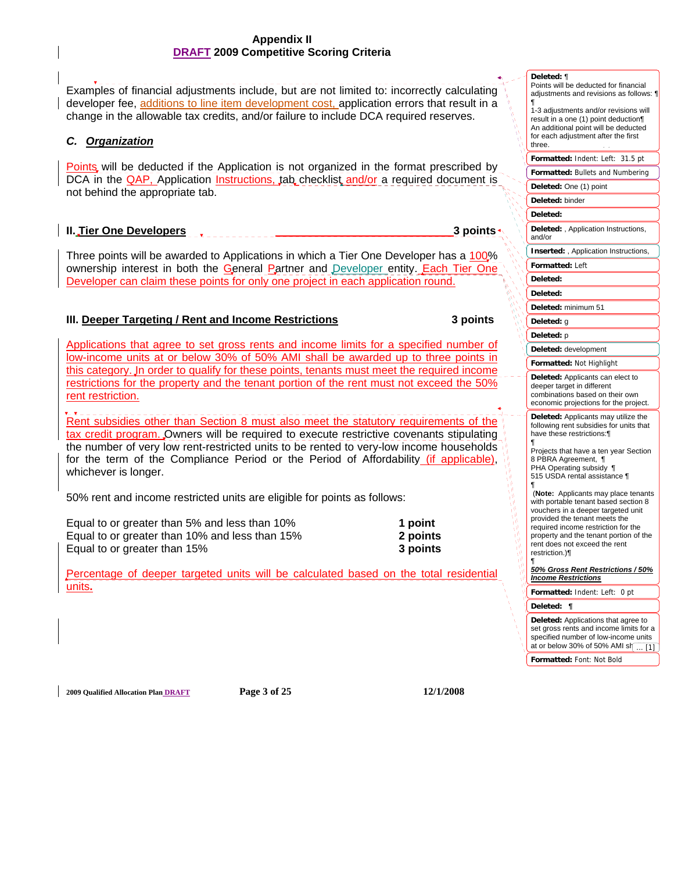l, Examples of financial adjustments include, but are not limited to: incorrectly calculating developer fee, additions to line item development cost, application errors that result in a change in the allowable tax credits, and/or failure to include DCA required reserves.

## *C. Organization*

**Points** will be deducted if the Application is not organized in the format prescribed by DCA in the **QAP**, Application **Instructions, tab checklist and/or** a required document is not behind the appropriate tab.

## **II.** Tier One Developers 3 points **1.1 and 1.1 and 1.1 and 1.1 and 1.1 and 1.1 and 1.1 and 1.1 and 1.1 and 1.1 and 1.1 and 1.1 and 1.1 and 1.1 and 1.1 and 1.1 and 1.1 and 1.1 and 1.1 and 1.1 and 1.1 and 1.1 and 1.1 and 1.**

Three points will be awarded to Applications in which a Tier One Developer has a 100% ownership interest in both the General Partner and Developer entity. Each Tier One Developer can claim these points for only one project in each application round.

## **III. Deeper Targeting / Rent and Income Restrictions 3 points**

Applications that agree to set gross rents and income limits for a specified number of low-income units at or below 30% of 50% AMI shall be awarded up to three points in this category. In order to qualify for these points, tenants must meet the required income restrictions for the property and the tenant portion of the rent must not exceed the 50% rent restriction.

 Rent subsidies other than Section 8 must also meet the statutory requirements of the tax credit program. Owners will be required to execute restrictive covenants stipulating the number of very low rent-restricted units to be rented to very-low income households for the term of the Compliance Period or the Period of Affordability (if applicable), whichever is longer.

50% rent and income restricted units are eligible for points as follows:

Equal to or greater than 5% and less than 10% **1 point** Equal to or greater than 10% and less than 15% **2 points** Equal to or greater than 15% **3 points**

Percentage of deeper targeted units will be calculated based on the total residential units**.**

| adjustments and revisions as follows: 1                                                                                                                                                                                                                                                |  |
|----------------------------------------------------------------------------------------------------------------------------------------------------------------------------------------------------------------------------------------------------------------------------------------|--|
| ¶<br>1-3 adjustments and/or revisions will<br>result in a one (1) point deduction¶<br>An additional point will be deducted                                                                                                                                                             |  |
| for each adjustment after the first<br>three.                                                                                                                                                                                                                                          |  |
| Formatted: Indent: Left:<br>31.5 pt                                                                                                                                                                                                                                                    |  |
| Formatted: Bullets and Numbering                                                                                                                                                                                                                                                       |  |
| Deleted: One (1) point                                                                                                                                                                                                                                                                 |  |
| Deleted: binder                                                                                                                                                                                                                                                                        |  |
| Deleted:                                                                                                                                                                                                                                                                               |  |
| Deleted: , Application Instructions,<br>and/or                                                                                                                                                                                                                                         |  |
| Inserted: , Application Instructions,                                                                                                                                                                                                                                                  |  |
| Formatted: Left                                                                                                                                                                                                                                                                        |  |
| <b>Deleted:</b>                                                                                                                                                                                                                                                                        |  |
| Deleted:                                                                                                                                                                                                                                                                               |  |
| Deleted: minimum 51                                                                                                                                                                                                                                                                    |  |
| Deleted: g                                                                                                                                                                                                                                                                             |  |
| <b>Deleted:</b> p                                                                                                                                                                                                                                                                      |  |
| Deleted: development                                                                                                                                                                                                                                                                   |  |
| Formatted: Not Highlight                                                                                                                                                                                                                                                               |  |
| Deleted: Applicants can elect to<br>deeper target in different<br>combinations based on their own<br>economic projections for the project.                                                                                                                                             |  |
| Deleted: Applicants may utilize the<br>following rent subsidies for units that<br>have these restrictions:¶<br>¶                                                                                                                                                                       |  |
| Projects that have a ten year Section<br>8 PBRA Agreement, ¶<br>PHA Operating subsidy ¶<br>515 USDA rental assistance ¶<br>¶                                                                                                                                                           |  |
| (Note: Applicants may place tenants<br>with portable tenant based section 8<br>vouchers in a deeper targeted unit<br>provided the tenant meets the<br>required income restriction for the<br>property and the tenant portion of the<br>rent does not exceed the rent<br>restriction.)¶ |  |
| 1<br>50% Gross Rent Restrictions / 50%<br><u> Income Restrictions</u>                                                                                                                                                                                                                  |  |
| Formatted: Indent: Left:<br>0 pt                                                                                                                                                                                                                                                       |  |
| Deleted:<br>¶                                                                                                                                                                                                                                                                          |  |
| <b>Deleted:</b> Applications that agree to<br>set gross rents and income limits for a<br>specified number of low-income units<br>at or below 30% of 50% AMI sh<br>[1]                                                                                                                  |  |
| Formatted: Font: Not Bold                                                                                                                                                                                                                                                              |  |

**2009 Qualified Allocation Plan DRAFT Page 3 of 25 12/1/2008**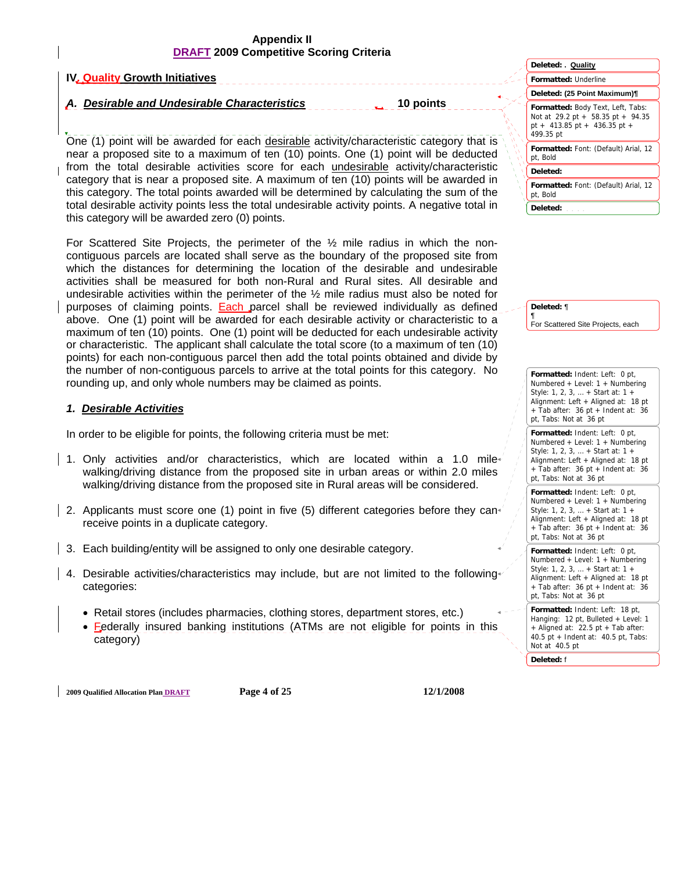#### **IV. Quality Growth Initiatives**  A. Desirable and Undesirable Characteristics **10** points l, One (1) point will be awarded for each desirable activity/characteristic category that is near a proposed site to a maximum of ten (10) points. One (1) point will be deducted from the total desirable activities score for each undesirable activity/characteristic category that is near a proposed site. A maximum of ten (10) points will be awarded in this category. The total points awarded will be determined by calculating the sum of the total desirable activity points less the total undesirable activity points. A negative total in this category will be awarded zero (0) points. **Formatted:** Underline **Formatted:** Body Text, Left, Tabs: Not at 29.2 pt + 58.35 pt + 94.35 pt + 413.85 pt + 436.35 pt + 499.35 pt **Formatted:** Font: (Default) Arial, 12 pt, Bold **Formatted:** Font: (Default) Arial, 12 pt, Bold **Deleted: . Quality Deleted: (25 Point Maximum)¶ Deleted: Deleted:**

For Scattered Site Projects, the perimeter of the  $\frac{1}{2}$  mile radius in which the noncontiguous parcels are located shall serve as the boundary of the proposed site from which the distances for determining the location of the desirable and undesirable activities shall be measured for both non-Rural and Rural sites. All desirable and undesirable activities within the perimeter of the  $\frac{1}{2}$  mile radius must also be noted for purposes of claiming points. **Each parcel shall be reviewed individually as defined** above. One (1) point will be awarded for each desirable activity or characteristic to a maximum of ten (10) points. One (1) point will be deducted for each undesirable activity or characteristic. The applicant shall calculate the total score (to a maximum of ten (10) points) for each non-contiguous parcel then add the total points obtained and divide by the number of non-contiguous parcels to arrive at the total points for this category. No rounding up, and only whole numbers may be claimed as points.

## *1. Desirable Activities*

In order to be eligible for points, the following criteria must be met:

- 1. Only activities and/or characteristics, which are located within a 1.0 mile walking/driving distance from the proposed site in urban areas or within 2.0 miles walking/driving distance from the proposed site in Rural areas will be considered.
- 2. Applicants must score one (1) point in five (5) different categories before they canreceive points in a duplicate category.
- 3. Each building/entity will be assigned to only one desirable category.
- 4. Desirable activities/characteristics may include, but are not limited to the following categories:
	- Retail stores (includes pharmacies, clothing stores, department stores, etc.)
	- Federally insured banking institutions (ATMs are not eligible for points in this category)

**2009 Qualified Allocation Plan DRAFT Page 4 of 25 12/1/2008** 

**Formatted:** Indent: Left: 0 pt, Numbered + Level: 1 + Numbering Style: 1, 2, 3, … + Start at: 1 + Alignment: Left + Aligned at: 18 pt  $+$  Tab after: 36 pt  $+$  Indent at: 36

For Scattered Site Projects, each

pt, Tabs: Not at 36 pt **Formatted:** Indent: Left: 0 pt, Numbered + Level: 1 + Numbering Style: 1, 2, 3, … + Start at: 1 + Alignment: Left + Aligned at: 18 pt  $+$  Tab after: 36 pt  $+$  Indent at: 36

**Deleted:** ¶ ¶

pt, Tabs: Not at 36 pt **Formatted:** Indent: Left: 0 pt, Numbered + Level: 1 + Numbering Style: 1, 2, 3, … + Start at: 1 + Alignment: Left + Aligned at: 18 pt + Tab after: 36 pt + Indent at: 36

pt, Tabs: Not at 36 pt **Formatted:** Indent: Left: 0 pt, Numbered + Level: 1 + Numbering Style: 1, 2, 3, … + Start at: 1 + Alignment: Left + Aligned at: 18 pt + Tab after: 36 pt + Indent at: 36

pt, Tabs: Not at 36 pt **Formatted:** Indent: Left: 18 pt, Hanging: 12 pt, Bulleted + Level: 1 + Aligned at: 22.5 pt + Tab after: 40.5 pt + Indent at: 40.5 pt, Tabs:

Not at 40.5 pt

**Deleted:** f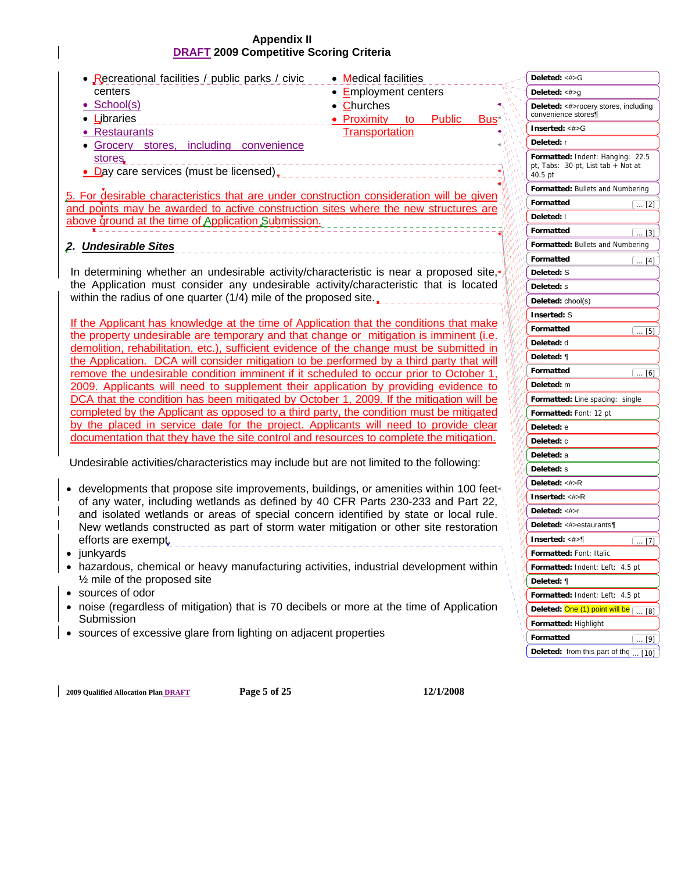| • Recreational facilities / public parks / civic                                                                                                                                    | • Medical facilities                                                 | Deleted: <#>G                                                                       |
|-------------------------------------------------------------------------------------------------------------------------------------------------------------------------------------|----------------------------------------------------------------------|-------------------------------------------------------------------------------------|
| centers                                                                                                                                                                             | • Employment centers                                                 | Deleted: $<\#>q$                                                                    |
| • School(s)<br>• Libraries                                                                                                                                                          | • Churches<br>• Proximity<br><b>Public</b><br>Bus <sup>+</sup><br>to | Deleted: <#>rocery stores, including<br>convenience stores¶                         |
| • Restaurants                                                                                                                                                                       | <b>Transportation</b>                                                | Inserted: <#>G                                                                      |
| · Grocery stores, including convenience                                                                                                                                             |                                                                      | Deleted: r                                                                          |
| stores.<br>• Day care services (must be licensed),                                                                                                                                  |                                                                      | Formatted: Indent: Hanging: 22.5<br>pt, Tabs: 30 pt, List tab + Not at<br>$40.5$ pt |
| 5. For desirable characteristics that are under construction consideration will be given                                                                                            |                                                                      | Formatted: Bullets and Numbering                                                    |
| and points may be awarded to active construction sites where the new structures are                                                                                                 |                                                                      | Formatted<br>$\ldots$ [2]                                                           |
| above ground at the time of Application Submission.                                                                                                                                 |                                                                      | Deleted: I                                                                          |
|                                                                                                                                                                                     |                                                                      | Formatted<br>$\ldots$ [3] .                                                         |
| 2. Undesirable Sites                                                                                                                                                                |                                                                      | Formatted: Bullets and Numbering                                                    |
|                                                                                                                                                                                     |                                                                      | Formatted<br>$\ldots$ [4]                                                           |
| In determining whether an undesirable activity/characteristic is near a proposed site,                                                                                              |                                                                      | Deleted: S                                                                          |
| the Application must consider any undesirable activity/characteristic that is located                                                                                               |                                                                      | Deleted: s                                                                          |
| within the radius of one quarter (1/4) mile of the proposed site.                                                                                                                   |                                                                      | Deleted: chool(s)                                                                   |
|                                                                                                                                                                                     |                                                                      | <b>Inserted: S</b>                                                                  |
| If the Applicant has knowledge at the time of Application that the conditions that make                                                                                             |                                                                      | Formatted<br>$[$ [5] $]$                                                            |
| the property undesirable are temporary and that change or mitigation is imminent (i.e.<br>demolition, rehabilitation, etc.), sufficient evidence of the change must be submitted in |                                                                      | Deleted: d                                                                          |
| the Application. DCA will consider mitigation to be performed by a third party that will                                                                                            |                                                                      | Deleted: ¶                                                                          |
| remove the undesirable condition imminent if it scheduled to occur prior to October 1,                                                                                              |                                                                      | Formatted<br>$\left[\ldots[6]\right]$                                               |
| 2009. Applicants will need to supplement their application by providing evidence to                                                                                                 |                                                                      | Deleted: m                                                                          |
| DCA that the condition has been mitigated by October 1, 2009. If the mitigation will be                                                                                             |                                                                      | Formatted: Line spacing: single                                                     |
| completed by the Applicant as opposed to a third party, the condition must be mitigated                                                                                             |                                                                      | Formatted: Font: 12 pt                                                              |
| by the placed in service date for the project. Applicants will need to provide clear                                                                                                |                                                                      | Deleted: e                                                                          |
| documentation that they have the site control and resources to complete the mitigation.                                                                                             |                                                                      | Deleted: c                                                                          |
|                                                                                                                                                                                     |                                                                      | Deleted: a                                                                          |
| Undesirable activities/characteristics may include but are not limited to the following:                                                                                            |                                                                      | Deleted: s                                                                          |
| • developments that propose site improvements, buildings, or amenities within 100 feet                                                                                              |                                                                      | Deleted: <#>R                                                                       |
| of any water, including wetlands as defined by 40 CFR Parts 230-233 and Part 22,                                                                                                    |                                                                      | Inserted: <#>R                                                                      |
| and isolated wetlands or areas of special concern identified by state or local rule.                                                                                                |                                                                      | Deleted: <#>r                                                                       |
| New wetlands constructed as part of storm water mitigation or other site restoration                                                                                                |                                                                      | Deleted: <#>estaurants¶                                                             |
| efforts are exempt.                                                                                                                                                                 |                                                                      | Inserted: $<\#$<br>$\dots$ [7]                                                      |
| junkyards                                                                                                                                                                           |                                                                      | Formatted: Font: Italic                                                             |
| hazardous, chemical or heavy manufacturing activities, industrial development within                                                                                                |                                                                      | Formatted: Indent: Left: 4.5 pt                                                     |
| $\frac{1}{2}$ mile of the proposed site                                                                                                                                             |                                                                      | Deleted: ¶                                                                          |
| • sources of odor                                                                                                                                                                   |                                                                      | Formatted: Indent: Left: 4.5 pt                                                     |
| • noise (regardless of mitigation) that is 70 decibels or more at the time of Application<br>Submission                                                                             |                                                                      | Deleted: One (1) point will be [ [8]                                                |
| • sources of excessive glare from lighting on adjacent properties                                                                                                                   |                                                                      | Formatted: Highlight                                                                |
|                                                                                                                                                                                     |                                                                      | Formatted<br>$\ldots$ [9]                                                           |
|                                                                                                                                                                                     |                                                                      | Deleted: from this part of the<br>$\ldots$ [10] $\mid$                              |

**2009 Qualified Allocation Plan DRAFT Page 5 of 25 12/1/2008**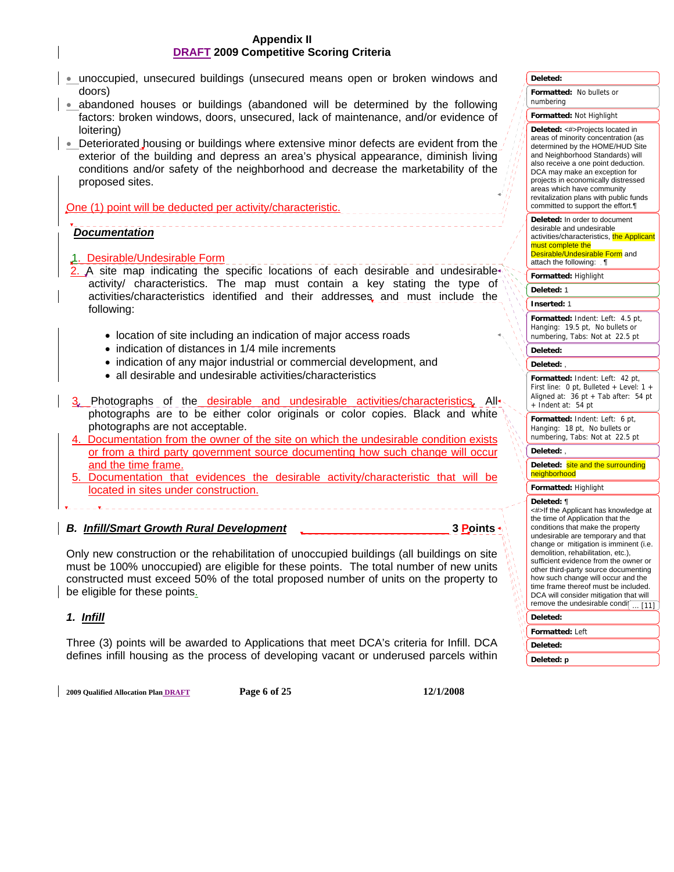- unoccupied, unsecured buildings (unsecured means open or broken windows and doors)
- abandoned houses or buildings (abandoned will be determined by the following factors: broken windows, doors, unsecured, lack of maintenance, and/or evidence of loitering)
- $\bullet$  Deteriorated housing or buildings where extensive minor defects are evident from the exterior of the building and depress an area's physical appearance, diminish living conditions and/or safety of the neighborhood and decrease the marketability of the proposed sites.

One (1) point will be deducted per activity/characteristic.

#### l,  *Documentation*

- 1. Desirable/Undesirable Form
- 2. A site map indicating the specific locations of each desirable and undesirable activity/ characteristics. The map must contain a key stating the type of activities/characteristics identified and their addresses and must include the following:
	- location of site including an indication of major access roads
	- indication of distances in 1/4 mile increments
	- indication of any major industrial or commercial development, and
	- all desirable and undesirable activities/characteristics
- 3. Photographs of the desirable and undesirable activities/characteristics. All photographs are to be either color originals or color copies. Black and white photographs are not acceptable.
- 4. Documentation from the owner of the site on which the undesirable condition exists or from a third party government source documenting how such change will occur and the time frame.
- 5. Documentation that evidences the desirable activity/characteristic that will be located in sites under construction.

## **B. Infill/Smart Growth Rural Development 3 Points 3 Points**

Only new construction or the rehabilitation of unoccupied buildings (all buildings on site must be 100% unoccupied) are eligible for these points. The total number of new units constructed must exceed 50% of the total proposed number of units on the property to be eligible for these points.

## *1. Infill*

Three (3) points will be awarded to Applications that meet DCA's criteria for Infill. DCA defines infill housing as the process of developing vacant or underused parcels within

**2009 Qualified Allocation Plan DRAFT Page 6 of 25 12/1/2008** 

#### **Deleted:**

**Formatted:** No bullets or numbering

#### **Formatted:** Not Highlight

**Deleted:** <#>Projects located in areas of minority concentration (as determined by the HOME/HUD Site and Neighborhood Standards) will also receive a one point deduction. DCA may make an exception for projects in economically distressed areas which have community revitalization plans with public funds committed to support the effort.¶

**Deleted:** In order to document desirable and undesirable activities/characteristics, the Applicant must complete the Desirable/Undesirable Form and

attach the following:  $\P$ 

**Formatted:** Highlight

#### **Deleted:** 1

**Inserted:** 1

**Formatted:** Indent: Left: 4.5 pt, Hanging: 19.5 pt, No bullets or numbering, Tabs: Not at 22.5 pt

#### **Deleted:**

#### **Deleted:** ,

**Formatted:** Indent: Left: 42 pt, First line: 0 pt, Bulleted + Level: 1 + Aligned at:  $36$  pt + Tab after:  $54$  pt + Indent at: 54 pt

**Formatted:** Indent: Left: 6 pt, Hanging: 18 pt, No bullets or numbering, Tabs: Not at 22.5 pt

#### **Deleted:** ,

**Deleted:** site and the surrounding neighborhood

#### **Formatted:** Highlight

#### **Deleted:** ¶

<#>If the Applicant has knowledge at the time of Application that the conditions that make the property undesirable are temporary and that change or mitigation is imminent (i.e. demolition, rehabilitation, etc.), sufficient evidence from the owner or other third-party source documenting how such change will occur and the time frame thereof must be included. DCA will consider mitigation that will remove the undesirable condi $\left[\ldots\right[11]$ **Deleted:** 

## **Formatted:** Left

**Deleted:** 

## **Deleted: p**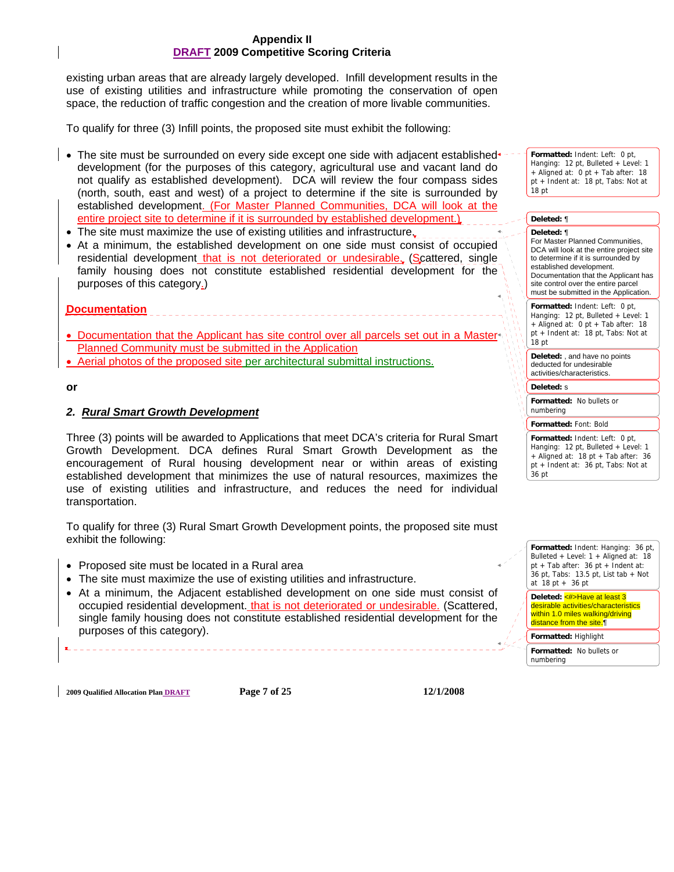existing urban areas that are already largely developed. Infill development results in the use of existing utilities and infrastructure while promoting the conservation of open space, the reduction of traffic congestion and the creation of more livable communities.

To qualify for three (3) Infill points, the proposed site must exhibit the following:

- The site must be surrounded on every side except one side with adjacent established •development (for the purposes of this category, agricultural use and vacant land do not qualify as established development). DCA will review the four compass sides (north, south, east and west) of a project to determine if the site is surrounded by established development. (For Master Planned Communities, DCA will look at the entire project site to determine if it is surrounded by established development.)
- The site must maximize the use of existing utilities and infrastructure.
- At a minimum, the established development on one side must consist of occupied residential development that is not deteriorated or undesirable. (Scattered, single family housing does not constitute established residential development for the purposes of this category.)

**Documentation**

• Documentation that the Applicant has site control over all parcels set out in a Master Planned Community must be submitted in the Application

\_\_\_\_\_\_\_\_\_\_\_\_\_\_\_\_\_\_\_\_\_\_\_\_

• Aerial photos of the proposed site per architectural submittal instructions.

#### **or**

#### *2. Rural Smart Growth Development*

Three (3) points will be awarded to Applications that meet DCA's criteria for Rural Smart Growth Development. DCA defines Rural Smart Growth Development as the encouragement of Rural housing development near or within areas of existing established development that minimizes the use of natural resources, maximizes the use of existing utilities and infrastructure, and reduces the need for individual transportation.

To qualify for three (3) Rural Smart Growth Development points, the proposed site must exhibit the following:

- Proposed site must be located in a Rural area
- The site must maximize the use of existing utilities and infrastructure.
- At a minimum, the Adjacent established development on one side must consist of occupied residential development. that is not deteriorated or undesirable. (Scattered, single family housing does not constitute established residential development for the purposes of this category).

**Formatted:** Indent: Left: 0 pt, Hanging: 12 pt, Bulleted + Level: 1 + Aligned at: 0 pt + Tab after: 18 pt + Indent at: 18 pt, Tabs: Not at 18 pt

#### **Formatted:** Indent: Left: 0 pt, Hanging: 12 pt, Bulleted + Level: 1 + Aligned at: 0 pt + Tab after: 18 pt + Indent at: 18 pt, Tabs: Not at 18 pt **Formatted:** No bullets or numbering **Formatted:** Font: Bold **Deleted:** ¶ **Deleted:** ¶ For Master Planned Communities, DCA will look at the entire project site to determine if it is surrounded by established development. Documentation that the Applicant has site control over the entire parcel must be submitted in the Application. Deleted: and have no points deducted for undesirable activities/characteristics. **Deleted:** s

**Formatted:** Indent: Left: 0 pt, Hanging: 12 pt, Bulleted + Level: 1 + Aligned at: 18 pt + Tab after: 36 pt + Indent at: 36 pt, Tabs: Not at 36 pt



**2009 Qualified Allocation Plan DRAFT Page 7 of 25 12/1/2008**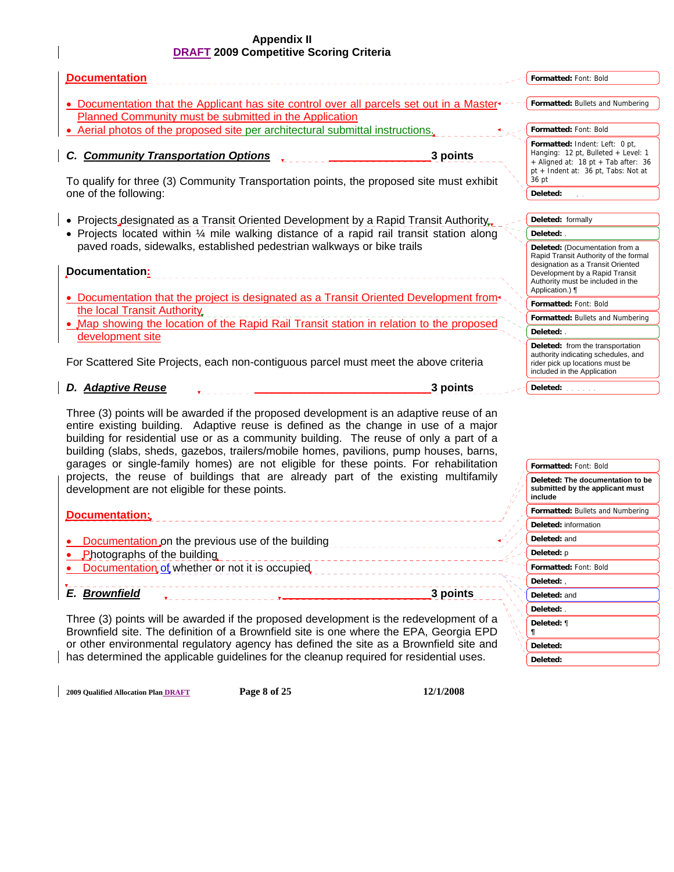| <b>Documentation</b>                                                                                                                                                                                                                                                                                                                                                                                                                                        |          | Formatted: Font: Bold                                                                                                                                                               |
|-------------------------------------------------------------------------------------------------------------------------------------------------------------------------------------------------------------------------------------------------------------------------------------------------------------------------------------------------------------------------------------------------------------------------------------------------------------|----------|-------------------------------------------------------------------------------------------------------------------------------------------------------------------------------------|
| • Documentation that the Applicant has site control over all parcels set out in a Master                                                                                                                                                                                                                                                                                                                                                                    |          | Formatted: Bullets and Numbering                                                                                                                                                    |
| Planned Community must be submitted in the Application                                                                                                                                                                                                                                                                                                                                                                                                      |          |                                                                                                                                                                                     |
| Aerial photos of the proposed site per architectural submittal instructions.                                                                                                                                                                                                                                                                                                                                                                                |          | Formatted: Font: Bold                                                                                                                                                               |
| <b>Community Transportation Options</b><br>To qualify for three (3) Community Transportation points, the proposed site must exhibit                                                                                                                                                                                                                                                                                                                         | 3 points | Formatted: Indent: Left: 0 pt,<br>Hanging: 12 pt, Bulleted + Level: 1<br>$+$ Aligned at: 18 pt + Tab after: 36<br>pt + Indent at: 36 pt, Tabs: Not at<br>36 pt                      |
| one of the following:                                                                                                                                                                                                                                                                                                                                                                                                                                       |          | Deleted:                                                                                                                                                                            |
|                                                                                                                                                                                                                                                                                                                                                                                                                                                             |          |                                                                                                                                                                                     |
| Projects designated as a Transit Oriented Development by a Rapid Transit Authority.                                                                                                                                                                                                                                                                                                                                                                         |          | Deleted: formally                                                                                                                                                                   |
| • Projects located within 1/4 mile walking distance of a rapid rail transit station along                                                                                                                                                                                                                                                                                                                                                                   |          | Deleted: .                                                                                                                                                                          |
| paved roads, sidewalks, established pedestrian walkways or bike trails<br>Documentation:                                                                                                                                                                                                                                                                                                                                                                    |          | Deleted: (Documentation from a<br>Rapid Transit Authority of the formal<br>designation as a Transit Oriented<br>Development by a Rapid Transit<br>Authority must be included in the |
| • Documentation that the project is designated as a Transit Oriented Development from+                                                                                                                                                                                                                                                                                                                                                                      |          | Application.) ¶                                                                                                                                                                     |
| the local Transit Authority                                                                                                                                                                                                                                                                                                                                                                                                                                 |          | Formatted: Font: Bold                                                                                                                                                               |
| . Map showing the location of the Rapid Rail Transit station in relation to the proposed                                                                                                                                                                                                                                                                                                                                                                    |          | Formatted: Bullets and Numbering                                                                                                                                                    |
| development site                                                                                                                                                                                                                                                                                                                                                                                                                                            |          | Deleted: .                                                                                                                                                                          |
| For Scattered Site Projects, each non-contiguous parcel must meet the above criteria                                                                                                                                                                                                                                                                                                                                                                        |          | Deleted: from the transportation<br>authority indicating schedules, and<br>rider pick up locations must be<br>included in the Application                                           |
| <b>Adaptive Reuse</b><br>D.                                                                                                                                                                                                                                                                                                                                                                                                                                 | 3 points | Deleted:                                                                                                                                                                            |
| Three (3) points will be awarded if the proposed development is an adaptive reuse of an<br>entire existing building. Adaptive reuse is defined as the change in use of a major<br>building for residential use or as a community building. The reuse of only a part of a<br>building (slabs, sheds, gazebos, trailers/mobile homes, pavilions, pump houses, barns,<br>garages or single-family homes) are not eligible for these points. For rehabilitation |          | Formatted: Font: Bold                                                                                                                                                               |
| projects, the reuse of buildings that are already part of the existing multifamily                                                                                                                                                                                                                                                                                                                                                                          |          |                                                                                                                                                                                     |
| development are not eligible for these points.                                                                                                                                                                                                                                                                                                                                                                                                              |          | Deleted: The documentation to be<br>submitted by the applicant must<br>include                                                                                                      |
| Documentation:                                                                                                                                                                                                                                                                                                                                                                                                                                              |          | Formatted: Bullets and Numbering                                                                                                                                                    |
|                                                                                                                                                                                                                                                                                                                                                                                                                                                             |          | Deleted: information                                                                                                                                                                |

- **Documentation on the previous use of the building**
- Photographs of the building
- Documentation of whether or not it is occupied,

*E. Brownfield* **3 points**

Three (3) points will be awarded if the proposed development is the redevelopment of a Brownfield site. The definition of a Brownfield site is one where the EPA, Georgia EPD or other environmental regulatory agency has defined the site as a Brownfield site and has determined the applicable guidelines for the cleanup required for residential uses.

**2009 Qualified Allocation Plan DRAFT Page 8 of 25 12/1/2008** 

**Formatted:** Font: Bold

**Deleted:** and **Deleted:** p

**Deleted:** , **Deleted:** and **Deleted:** . **Deleted:** ¶ *¶* **Deleted: Deleted:**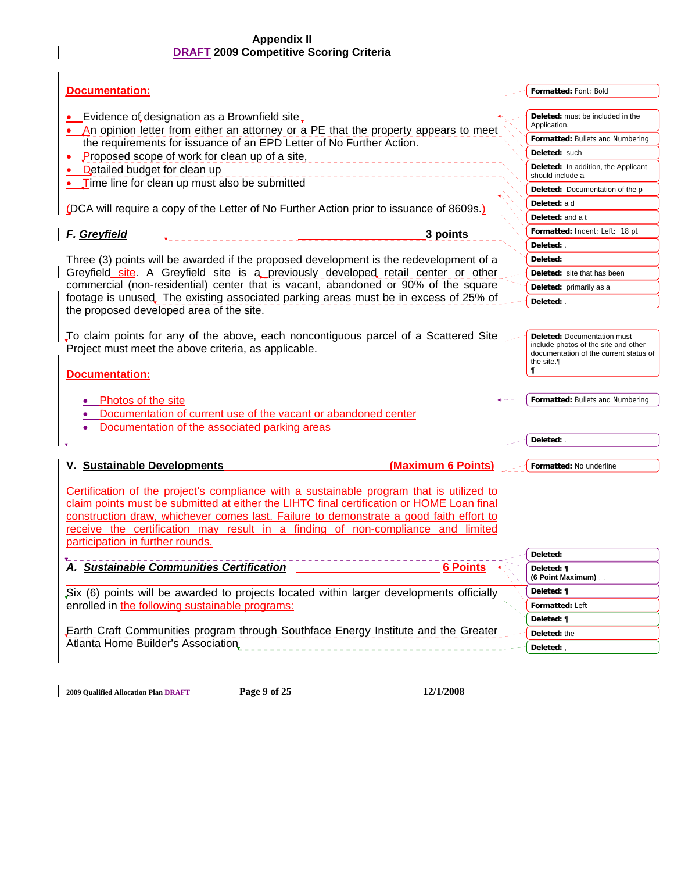| Documentation:                                                                                                                                                                                                                                                                                                                                                                                         | Formatted: Font: Bold                                   |
|--------------------------------------------------------------------------------------------------------------------------------------------------------------------------------------------------------------------------------------------------------------------------------------------------------------------------------------------------------------------------------------------------------|---------------------------------------------------------|
| Evidence of designation as a Brownfield site,<br>• An opinion letter from either an attorney or a PE that the property appears to meet                                                                                                                                                                                                                                                                 | Deleted: must be included in the<br>Application.        |
| the requirements for issuance of an EPD Letter of No Further Action.                                                                                                                                                                                                                                                                                                                                   | Formatted: Bullets and Numbering                        |
| Proposed scope of work for clean up of a site,                                                                                                                                                                                                                                                                                                                                                         | Deleted: such                                           |
| Detailed budget for clean up                                                                                                                                                                                                                                                                                                                                                                           | Deleted: In addition, the Applicant<br>should include a |
| Time line for clean up must also be submitted                                                                                                                                                                                                                                                                                                                                                          | <b>Deleted:</b> Documentation of the p                  |
|                                                                                                                                                                                                                                                                                                                                                                                                        | Deleted: a d                                            |
| (DCA will require a copy of the Letter of No Further Action prior to issuance of 8609s.)                                                                                                                                                                                                                                                                                                               | Deleted: and a t                                        |
| F. Greyfield<br>3 points                                                                                                                                                                                                                                                                                                                                                                               | Formatted: Indent: Left: 18 pt                          |
|                                                                                                                                                                                                                                                                                                                                                                                                        | Deleted: .                                              |
| Three (3) points will be awarded if the proposed development is the redevelopment of a                                                                                                                                                                                                                                                                                                                 | Deleted:                                                |
| Greyfield site. A Greyfield site is a previously developed retail center or other                                                                                                                                                                                                                                                                                                                      | Deleted: site that has been                             |
| commercial (non-residential) center that is vacant, abandoned or 90% of the square                                                                                                                                                                                                                                                                                                                     | Deleted: primarily as a                                 |
| footage is unused. The existing associated parking areas must be in excess of 25% of<br>the proposed developed area of the site.                                                                                                                                                                                                                                                                       | Deleted: .                                              |
| <b>Documentation:</b><br>Photos of the site<br>Documentation of current use of the vacant or abandoned center<br>Documentation of the associated parking areas                                                                                                                                                                                                                                         | the site.<br>ſ<br>Formatted: Bullets and Numbering      |
|                                                                                                                                                                                                                                                                                                                                                                                                        | Deleted: .                                              |
| V. Sustainable Developments<br>(Maximum 6 Points)                                                                                                                                                                                                                                                                                                                                                      | Formatted: No underline                                 |
| Certification of the project's compliance with a sustainable program that is utilized to<br>claim points must be submitted at either the LIHTC final certification or HOME Loan final<br>construction draw, whichever comes last. Failure to demonstrate a good faith effort to<br>receive the certification may result in a finding of non-compliance and limited<br>participation in further rounds. | Deleted:                                                |
| <b>Sustainable Communities Certification</b><br>6 Points                                                                                                                                                                                                                                                                                                                                               | Deleted: ¶                                              |
|                                                                                                                                                                                                                                                                                                                                                                                                        | (6 Point Maximum).                                      |
| Six (6) points will be awarded to projects located within larger developments officially                                                                                                                                                                                                                                                                                                               | Deleted: ¶                                              |
| enrolled in the following sustainable programs:                                                                                                                                                                                                                                                                                                                                                        | Formatted: Left                                         |
|                                                                                                                                                                                                                                                                                                                                                                                                        | Deleted: ¶                                              |
| Earth Craft Communities program through Southface Energy Institute and the Greater                                                                                                                                                                                                                                                                                                                     | Deleted: the                                            |
| Atlanta Home Builder's Association                                                                                                                                                                                                                                                                                                                                                                     | Deleted:,                                               |
|                                                                                                                                                                                                                                                                                                                                                                                                        |                                                         |

**2009 Qualified Allocation Plan DRAFT Page 9 of 25 12/1/2008**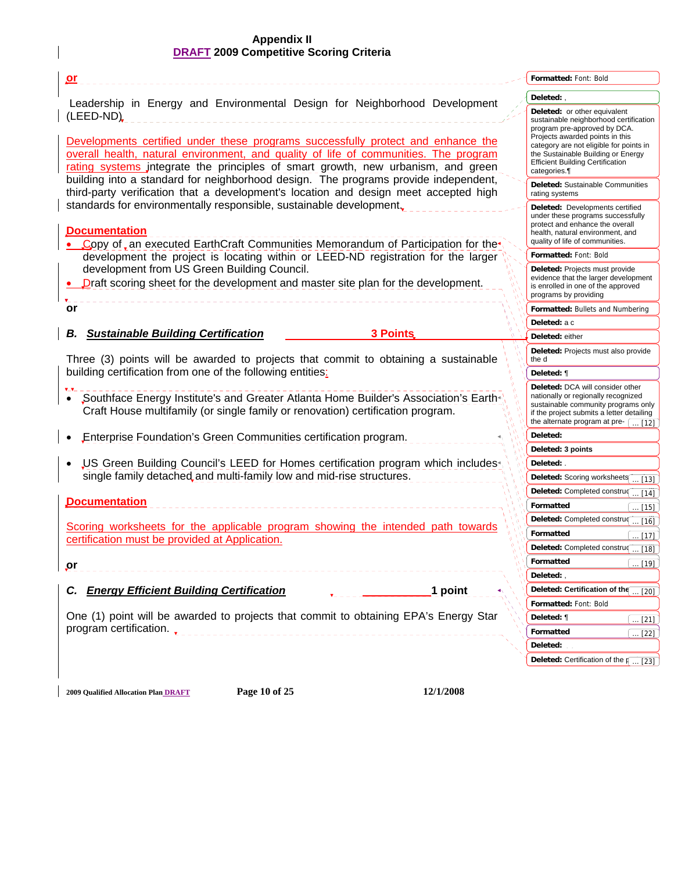$\overline{\phantom{a}}$ 

| <u>or</u>                                                                                                                                                                                                                                                    | Formatted: Font: Bold                                                                                                                                                                                    |
|--------------------------------------------------------------------------------------------------------------------------------------------------------------------------------------------------------------------------------------------------------------|----------------------------------------------------------------------------------------------------------------------------------------------------------------------------------------------------------|
|                                                                                                                                                                                                                                                              | Deleted:,                                                                                                                                                                                                |
| Leadership in Energy and Environmental Design for Neighborhood Development<br>(LEED-ND)                                                                                                                                                                      | Deleted: or other equivalent<br>sustainable neighborhood certification<br>program pre-approved by DCA.                                                                                                   |
| Developments certified under these programs successfully protect and enhance the<br>overall health, natural environment, and quality of life of communities. The program<br>rating systems integrate the principles of smart growth, new urbanism, and green | Projects awarded points in this<br>category are not eligible for points in<br>the Sustainable Building or Energy<br><b>Efficient Building Certification</b><br>categories.¶                              |
| building into a standard for neighborhood design. The programs provide independent,<br>third-party verification that a development's location and design meet accepted high                                                                                  | Deleted: Sustainable Communities<br>rating systems                                                                                                                                                       |
| standards for environmentally responsible, sustainable development.<br><b>Documentation</b><br>Copy of an executed EarthCraft Communities Memorandum of Participation for the                                                                                | Deleted: Developments certified<br>under these programs successfully<br>protect and enhance the overall<br>health, natural environment, and<br>quality of life of communities.                           |
| development the project is locating within or LEED-ND registration for the larger                                                                                                                                                                            | Formatted: Font: Bold                                                                                                                                                                                    |
| development from US Green Building Council.<br>• Draft scoring sheet for the development and master site plan for the development.                                                                                                                           | Deleted: Projects must provide<br>evidence that the larger development<br>is enrolled in one of the approved<br>programs by providing                                                                    |
| or                                                                                                                                                                                                                                                           | Formatted: Bullets and Numbering                                                                                                                                                                         |
|                                                                                                                                                                                                                                                              | Deleted: a c                                                                                                                                                                                             |
| <b>Sustainable Building Certification</b><br><b>3 Points</b><br>В.                                                                                                                                                                                           | Deleted: either                                                                                                                                                                                          |
| Three (3) points will be awarded to projects that commit to obtaining a sustainable                                                                                                                                                                          | Deleted: Projects must also provide<br>the d                                                                                                                                                             |
| building certification from one of the following entities:                                                                                                                                                                                                   | Deleted: ¶                                                                                                                                                                                               |
| "Southface Energy Institute's and Greater Atlanta Home Builder's Association's Earth<br>Craft House multifamily (or single family or renovation) certification program.                                                                                      | Deleted: DCA will consider other<br>nationally or regionally recognized<br>sustainable community programs only<br>if the project submits a letter detailing<br>the alternate program at pre- $\sqrt{12}$ |
| Enterprise Foundation's Green Communities certification program.                                                                                                                                                                                             | Deleted:                                                                                                                                                                                                 |
|                                                                                                                                                                                                                                                              | Deleted: 3 points                                                                                                                                                                                        |
| US Green Building Council's LEED for Homes certification program which includes <sup>+</sup>                                                                                                                                                                 | Deleted: .                                                                                                                                                                                               |
| single family detached and multi-family low and mid-rise structures.                                                                                                                                                                                         | Deleted: Scoring worksheets<br>$\ldots$ [13]                                                                                                                                                             |
|                                                                                                                                                                                                                                                              | Deleted: Completed construq<br>$\ldots$ [14] $\rfloor$                                                                                                                                                   |
| <b>Documentation</b>                                                                                                                                                                                                                                         | Formatted<br>$\dots$ [15]                                                                                                                                                                                |
| Scoring worksheets for the applicable program showing the intended path towards                                                                                                                                                                              | Deleted: Completed constru $\left(\frac{16}{16}\right)$                                                                                                                                                  |
| certification must be provided at Application.                                                                                                                                                                                                               | Formatted<br>$\left[\dots [17]\right]$                                                                                                                                                                   |
|                                                                                                                                                                                                                                                              | Deleted: Completed constru $\boxed{ [18]}$                                                                                                                                                               |
| $\mathbf{p}$                                                                                                                                                                                                                                                 | Formatted<br>$\left[\dots [19]\right]$                                                                                                                                                                   |
|                                                                                                                                                                                                                                                              | Deleted:,                                                                                                                                                                                                |
| <b>Energy Efficient Building Certification</b><br>1 point<br>C.                                                                                                                                                                                              | Deleted: Certification of the  [20]                                                                                                                                                                      |
|                                                                                                                                                                                                                                                              | Formatted: Font: Bold                                                                                                                                                                                    |
| One (1) point will be awarded to projects that commit to obtaining EPA's Energy Star                                                                                                                                                                         | Deleted: ¶<br>$\dots$ [21]                                                                                                                                                                               |
|                                                                                                                                                                                                                                                              | Formatted<br>$\ldots$ [22]                                                                                                                                                                               |
|                                                                                                                                                                                                                                                              | Deleted:                                                                                                                                                                                                 |
|                                                                                                                                                                                                                                                              | <b>Deleted:</b> Certification of the $\sqrt{123}$                                                                                                                                                        |
|                                                                                                                                                                                                                                                              |                                                                                                                                                                                                          |
| Page 10 of 25<br>12/1/2008<br><b>2009 Qualified Allocation Plan DRAFT</b>                                                                                                                                                                                    |                                                                                                                                                                                                          |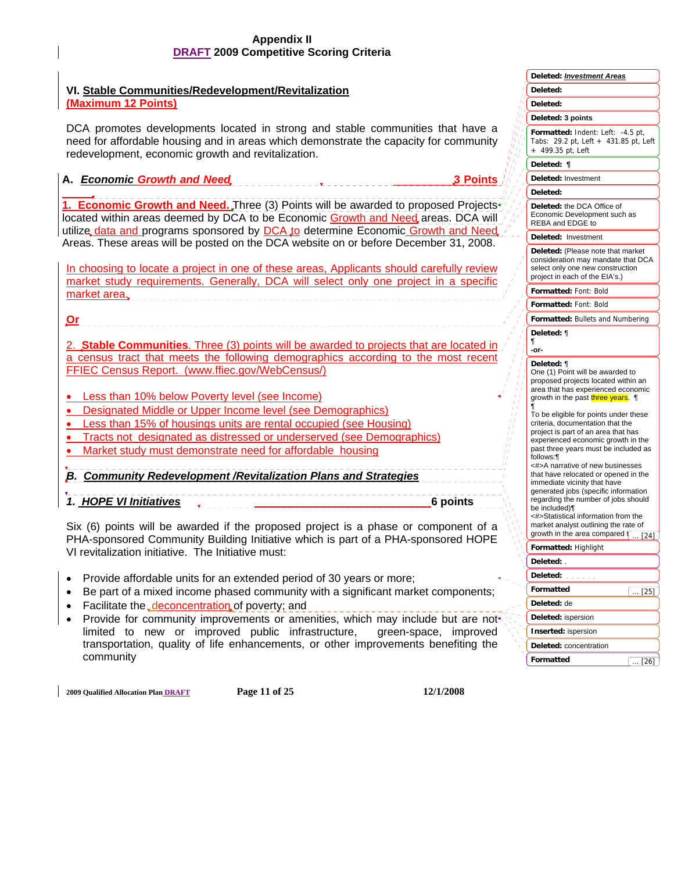## **VI. Stable Communities/Redevelopment/Revitalization (Maximum 12 Points)**

DCA promotes developments located in strong and stable communities that have a need for affordable housing and in areas which demonstrate the capacity for community redevelopment, economic growth and revitalization.

## **A.** *Economic Growth and Need* **3 Points**

 **1. Economic Growth and Need.** Three (3) Points will be awarded to proposed Projects located within areas deemed by DCA to be Economic Growth and Need areas. DCA will utilize data and programs sponsored by DCA to determine Economic Growth and Need Areas. These areas will be posted on the DCA website on or before December 31, 2008.

In choosing to locate a project in one of these areas, Applicants should carefully review market study requirements. Generally, DCA will select only one project in a specific market area.

**Or**

2. **Stable Communities**. Three (3) points will be awarded to projects that are located in a census tract that meets the following demographics according to the most recent FFIEC Census Report. (www.ffiec.gov/WebCensus/)

- Less than 10% below Poverty level (see Income)
- Designated Middle or Upper Income level (see Demographics)
- Less than 15% of housings units are rental occupied (see Housing)
- Tracts not designated as distressed or underserved (see Demographics)
- Market study must demonstrate need for affordable housing

*B. Community Redevelopment /Revitalization Plans and Strategies* 

*1. HOPE VI Initiatives* **6 points 6 points** 

Six (6) points will be awarded if the proposed project is a phase or component of a PHA-sponsored Community Building Initiative which is part of a PHA-sponsored HOPE VI revitalization initiative. The Initiative must:

- Provide affordable units for an extended period of 30 years or more;
- Be part of a mixed income phased community with a significant market components;
- Facilitate the deconcentration of poverty; and
- Provide for community improvements or amenities, which may include but are not limited to new or improved public infrastructure, green-space, improved transportation, quality of life enhancements, or other improvements benefiting the community

**2009 Qualified Allocation Plan DRAFT Page 11 of 25 12/1/2008** 

|   | Deleted: Investment Areas                                                                                                                                                                                                                                                                                                                                                                                                                                                                                                                                                                                            |
|---|----------------------------------------------------------------------------------------------------------------------------------------------------------------------------------------------------------------------------------------------------------------------------------------------------------------------------------------------------------------------------------------------------------------------------------------------------------------------------------------------------------------------------------------------------------------------------------------------------------------------|
|   | Deleted:                                                                                                                                                                                                                                                                                                                                                                                                                                                                                                                                                                                                             |
|   | <b>Deleted:</b>                                                                                                                                                                                                                                                                                                                                                                                                                                                                                                                                                                                                      |
|   | Deleted: 3 points                                                                                                                                                                                                                                                                                                                                                                                                                                                                                                                                                                                                    |
|   | Formatted: Indent: Left: -4.5 pt,<br>29.2 pt, Left + 431.85 pt, Left<br>Tabs:<br>499.35 pt, Left<br>$^{+}$                                                                                                                                                                                                                                                                                                                                                                                                                                                                                                           |
|   | Deleted:<br>1                                                                                                                                                                                                                                                                                                                                                                                                                                                                                                                                                                                                        |
|   | Deleted: Investment                                                                                                                                                                                                                                                                                                                                                                                                                                                                                                                                                                                                  |
|   | Deleted:                                                                                                                                                                                                                                                                                                                                                                                                                                                                                                                                                                                                             |
|   | Deleted: the DCA Office of<br>Economic Development such as<br>REBA and EDGE to                                                                                                                                                                                                                                                                                                                                                                                                                                                                                                                                       |
|   | Deleted:<br>Investment                                                                                                                                                                                                                                                                                                                                                                                                                                                                                                                                                                                               |
|   | Deleted: (Please note that market<br>consideration may mandate that DCA<br>select only one new construction<br>project in each of the EIA's.)                                                                                                                                                                                                                                                                                                                                                                                                                                                                        |
|   | Formatted: Font: Bold                                                                                                                                                                                                                                                                                                                                                                                                                                                                                                                                                                                                |
|   | Formatted: Font: Bold                                                                                                                                                                                                                                                                                                                                                                                                                                                                                                                                                                                                |
|   | Formatted: Bullets and Numbering                                                                                                                                                                                                                                                                                                                                                                                                                                                                                                                                                                                     |
| ſ | Deleted: ¶<br>-or-                                                                                                                                                                                                                                                                                                                                                                                                                                                                                                                                                                                                   |
| ſ | One (1) Point will be awarded to<br>proposed projects located within an<br>area that has experienced economic<br>growth in the past three years. ¶<br>To be eligible for points under these<br>criteria, documentation that the<br>project is part of an area that has<br>experienced economic growth in the<br>past three years must be included as<br>follows:¶<br><#>A narrative of new businesses<br>that have relocated or opened in the<br>immediate vicinity that have<br>generated jobs (specific information<br>regarding the number of jobs should<br>be included)¶<br><#>Statistical information from the |
|   | market analyst outlining the rate of<br>growth in the area compared to<br>$\overline{\ldots}$ [24]                                                                                                                                                                                                                                                                                                                                                                                                                                                                                                                   |
|   | Formatted: Highlight                                                                                                                                                                                                                                                                                                                                                                                                                                                                                                                                                                                                 |
|   | Deleted: .                                                                                                                                                                                                                                                                                                                                                                                                                                                                                                                                                                                                           |
|   | Deleted:                                                                                                                                                                                                                                                                                                                                                                                                                                                                                                                                                                                                             |
|   | Formatted<br>$\left(\ \ldots\ \left[ 25\right] \right]$                                                                                                                                                                                                                                                                                                                                                                                                                                                                                                                                                              |
|   | Deleted: de                                                                                                                                                                                                                                                                                                                                                                                                                                                                                                                                                                                                          |
|   | Deleted: ispersion                                                                                                                                                                                                                                                                                                                                                                                                                                                                                                                                                                                                   |
|   | <b>Inserted: ispersion</b>                                                                                                                                                                                                                                                                                                                                                                                                                                                                                                                                                                                           |
|   | Deleted: concentration                                                                                                                                                                                                                                                                                                                                                                                                                                                                                                                                                                                               |
|   | Formatted<br>(  [26]                                                                                                                                                                                                                                                                                                                                                                                                                                                                                                                                                                                                 |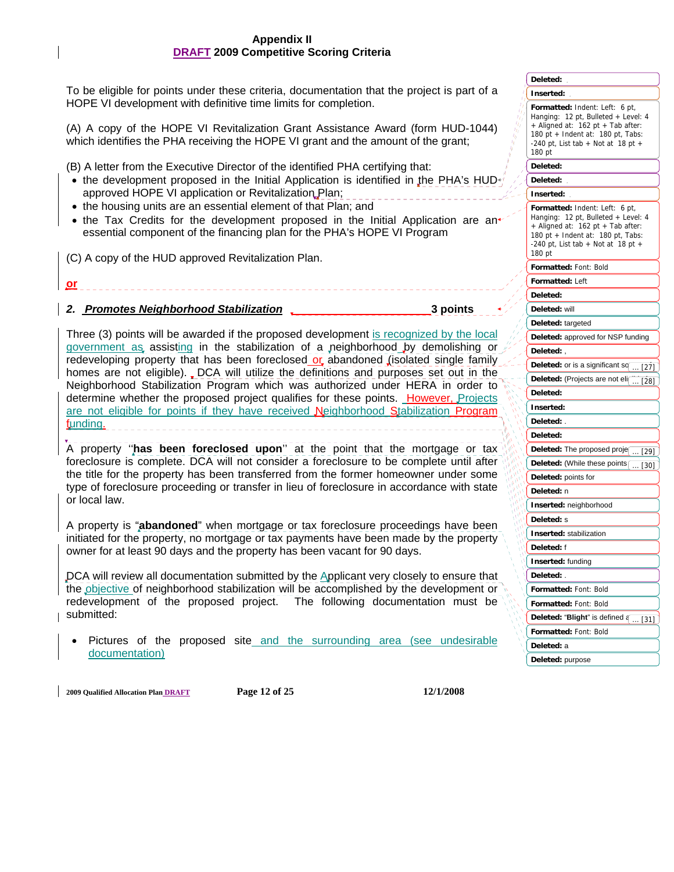To be eligible for points under these criteria, documentation that the project is part of a HOPE VI development with definitive time limits for completion.

(A) A copy of the HOPE VI Revitalization Grant Assistance Award (form HUD-1044) which identifies the PHA receiving the HOPE VI grant and the amount of the grant;

(B) A letter from the Executive Director of the identified PHA certifying that:

- the development proposed in the Initial Application is identified in the PHA's HUD approved HOPE VI application or Revitalization Plan;
- the housing units are an essential element of that Plan; and
- the Tax Credits for the development proposed in the Initial Application are an essential component of the financing plan for the PHA's HOPE VI Program

(C) A copy of the HUD approved Revitalization Plan.

## *2. Promotes Neighborhood Stabilization* **3 points**

**or**

Three (3) points will be awarded if the proposed development is recognized by the local government as assisting in the stabilization of a neighborhood by demolishing or redeveloping property that has been foreclosed or abandoned (isolated single family homes are not eligible). DCA will utilize the definitions and purposes set out in the Neighborhood Stabilization Program which was authorized under HERA in order to determine whether the proposed project qualifies for these points. However, Projects are not eligible for points if they have received Neighborhood Stabilization Program funding.

A property ''**has been foreclosed upon**'' at the point that the mortgage or tax foreclosure is complete. DCA will not consider a foreclosure to be complete until after the title for the property has been transferred from the former homeowner under some type of foreclosure proceeding or transfer in lieu of foreclosure in accordance with state or local law.

A property is "**abandoned**" when mortgage or tax foreclosure proceedings have been initiated for the property, no mortgage or tax payments have been made by the property owner for at least 90 days and the property has been vacant for 90 days.

DCA will review all documentation submitted by the Applicant very closely to ensure that the objective of neighborhood stabilization will be accomplished by the development or redevelopment of the proposed project. The following documentation must be submitted:

• Pictures of the proposed site and the surrounding area (see undesirable documentation)

**Formatted:** Indent: Left: 6 pt, Hanging: 12 pt, Bulleted + Level: 4 + Aligned at: 162 pt + Tab after: 180 pt + Indent at: 180 pt, Tabs: -240 pt. List tab  $+$  Not at 18 pt  $+$ 180 pt **Formatted:** Indent: Left: 6 pt, Hanging: 12 pt, Bulleted + Level: 4 + Aligned at: 162 pt + Tab after: 180 pt + Indent at: 180 pt, Tabs: -240 pt, List tab + Not at 18 pt + 180 pt **Formatted:** Font: Bold **Formatted:** Left **Formatted:** Font: Bold **Formatted:** Font: Bold **Formatted:** Font: Bold **Deleted: Inserted: Deleted: Deleted: Inserted: Deleted: Deleted:** will **Deleted:** targeted **Deleted:** approved for NSP funding **Deleted:** , **Deleted:** or is a significant so **Deleted:** (Projects are not elig **Deleted: Inserted: Deleted:** . **Deleted: Deleted:** The proposed proje **Deleted:** (While these points **Deleted:** points for **Deleted:** n **Inserted:** neighborhood **Deleted:** s **Inserted:** stabilization **Deleted:** f **Inserted:** funding **Deleted:** . **Deleted: "Blight"** is defined a  $1271$ ... [30] [28]  $\overline{1291}$ [31]

**Deleted:** a **Deleted:** purpose

**2009 Qualified Allocation Plan DRAFT Page 12 of 25 12/1/2008**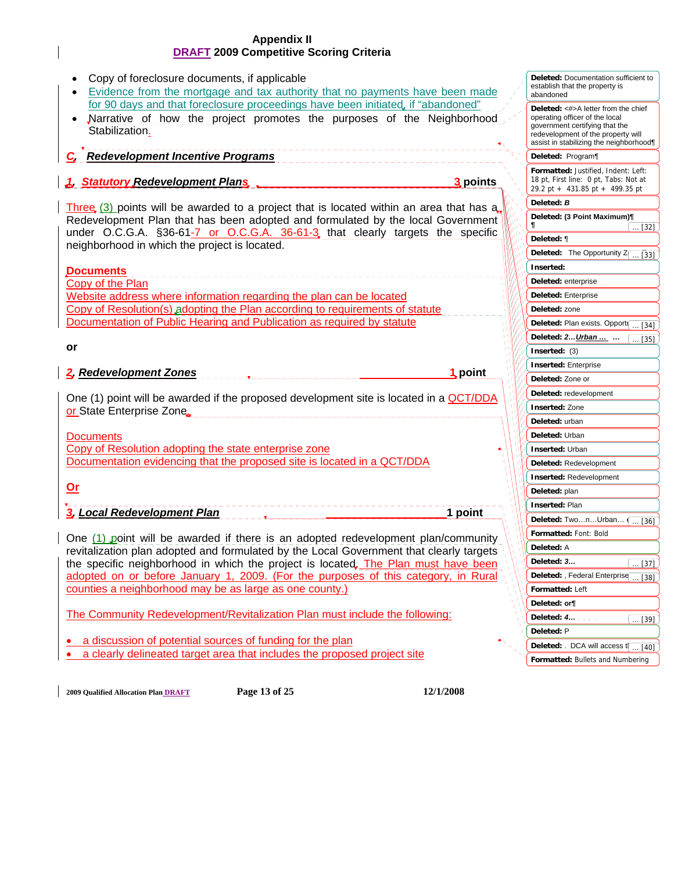| Copy of foreclosure documents, if applicable<br>Evidence from the mortgage and tax authority that no payments have been made                                                      | <b>Deleted:</b> Documentation sufficient to<br>establish that the property is<br>abandoned                                                                                              |
|-----------------------------------------------------------------------------------------------------------------------------------------------------------------------------------|-----------------------------------------------------------------------------------------------------------------------------------------------------------------------------------------|
| for 90 days and that foreclosure proceedings have been initiated, if "abandoned"<br>Narrative of how the project promotes the purposes of the Neighborhood<br>Stabilization.<br>. | Deleted: <#>A letter from the chief<br>operating officer of the local<br>government certifying that the<br>redevelopment of the property will<br>assist in stabilizing the neighborhood |
| <b>Redevelopment Incentive Programs</b>                                                                                                                                           | Deleted: Program                                                                                                                                                                        |
| 1. Statutory Redevelopment Plans<br>3 points                                                                                                                                      | Formatted: Justified, Indent: Left:<br>18 pt, First line: 0 pt, Tabs: Not at<br>29.2 pt + 431.85 pt + 499.35 pt                                                                         |
| Three $(3)$ points will be awarded to a project that is located within an area that has $a_n$                                                                                     | Deleted: B                                                                                                                                                                              |
| Redevelopment Plan that has been adopted and formulated by the local Government<br>under O.C.G.A. §36-61-7 or O.C.G.A. 36-61-3, that clearly targets the specific                 | Deleted: (3 Point Maximum)¶<br>1<br>$\dots$ [32]                                                                                                                                        |
| neighborhood in which the project is located.                                                                                                                                     | Deleted: ¶                                                                                                                                                                              |
|                                                                                                                                                                                   | Deleted: The Opportunity Z(<br>$\dots$ [33]                                                                                                                                             |
| <b>Documents</b>                                                                                                                                                                  | Inserted:                                                                                                                                                                               |
| Copy of the Plan                                                                                                                                                                  | Deleted: enterprise                                                                                                                                                                     |
| Website address where information regarding the plan can be located                                                                                                               | Deleted: Enterprise                                                                                                                                                                     |
| Copy of Resolution(s) adopting the Plan according to requirements of statute                                                                                                      | Deleted: zone                                                                                                                                                                           |
| Documentation of Public Hearing and Publication as required by statute                                                                                                            | Deleted: Plan exists. Opport( [34]                                                                                                                                                      |
|                                                                                                                                                                                   | Deleted: 2Urban<br>$\dots$ [35]                                                                                                                                                         |
| or                                                                                                                                                                                | Inserted: $(3)$                                                                                                                                                                         |
| 2. Redevelopment Zones<br>1. point                                                                                                                                                | <b>Inserted: Enterprise</b>                                                                                                                                                             |
|                                                                                                                                                                                   | Deleted: Zone or                                                                                                                                                                        |
| One (1) point will be awarded if the proposed development site is located in a QCT/DDA                                                                                            | Deleted: redevelopment                                                                                                                                                                  |
| or State Enterprise Zone                                                                                                                                                          | <b>Inserted: Zone</b>                                                                                                                                                                   |
|                                                                                                                                                                                   | Deleted: urban                                                                                                                                                                          |
| <b>Documents</b>                                                                                                                                                                  | Deleted: Urban                                                                                                                                                                          |
| Copy of Resolution adopting the state enterprise zone                                                                                                                             | <b>Inserted: Urban</b>                                                                                                                                                                  |
| Documentation evidencing that the proposed site is located in a QCT/DDA                                                                                                           | Deleted: Redevelopment                                                                                                                                                                  |
|                                                                                                                                                                                   | <b>Inserted: Redevelopment</b>                                                                                                                                                          |
| $Or$                                                                                                                                                                              | Deleted: plan                                                                                                                                                                           |
| 3. Local Redevelopment Plan<br>1 point                                                                                                                                            | <b>Inserted: Plan</b>                                                                                                                                                                   |
|                                                                                                                                                                                   | Deleted: TwonUrban<br>$\dots$ [36]                                                                                                                                                      |
| One $(1)$ point will be awarded if there is an adopted redevelopment plan/community                                                                                               | Formatted: Font: Bold                                                                                                                                                                   |
| revitalization plan adopted and formulated by the Local Government that clearly targets                                                                                           | Deleted: A                                                                                                                                                                              |
| the specific neighborhood in which the project is located. The Plan must have been                                                                                                | Deleted: 3<br><u> [37] J</u>                                                                                                                                                            |
| adopted on or before January 1, 2009. (For the purposes of this category, in Rural                                                                                                | Deleted: , Federal Enterprise<br>$\dots$ [38]                                                                                                                                           |
| counties a neighborhood may be as large as one county.)                                                                                                                           | Formatted: Left                                                                                                                                                                         |
|                                                                                                                                                                                   | Deleted: or                                                                                                                                                                             |
| The Community Redevelopment/Revitalization Plan must include the following:                                                                                                       | Deleted: 4<br>$\ldots$ [39]                                                                                                                                                             |
| a discussion of potential sources of funding for the plan                                                                                                                         | Deleted: P                                                                                                                                                                              |
| a clearly delineated target area that includes the proposed project site                                                                                                          | Deleted: . DCA will access $t$ [40]                                                                                                                                                     |
|                                                                                                                                                                                   | Formatted: Bullets and Numbering                                                                                                                                                        |

**2009 Qualified Allocation Plan DRAFT Page 13 of 25 12/1/2008** 

 $\overline{\phantom{a}}$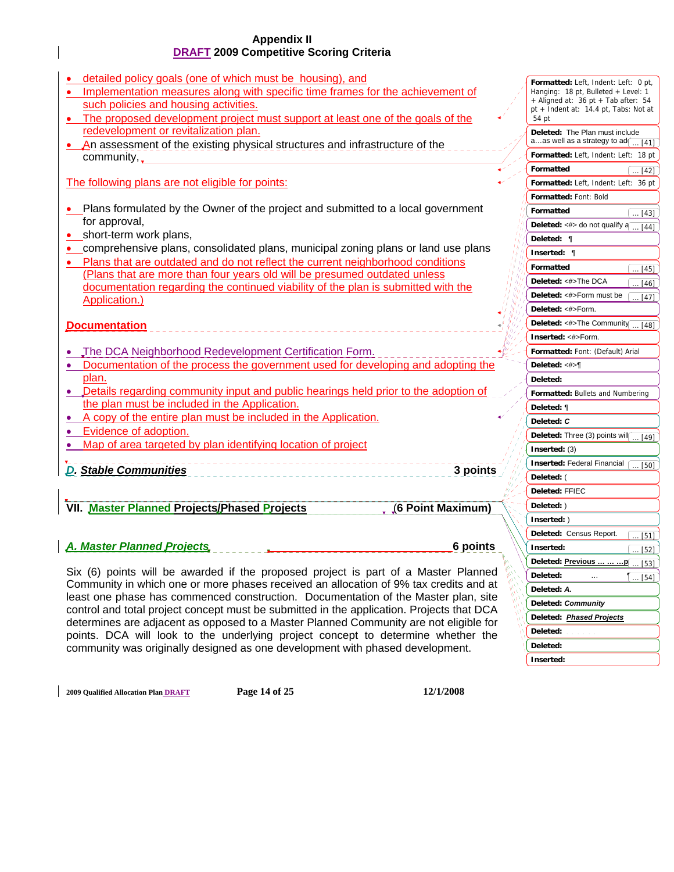| detailed policy goals (one of which must be housing), and<br>Implementation measures along with specific time frames for the achievement of<br>such policies and housing activities.<br>The proposed development project must support at least one of the goals of the | Formatted: Left, Indent: Left: 0 pt,<br>Hanging: 18 pt, Bulleted + Level: 1<br>+ Aligned at: $36 \text{ pt} + \text{Tab after: } 54$<br>pt + Indent at: 14.4 pt, Tabs: Not at<br>54 pt |
|------------------------------------------------------------------------------------------------------------------------------------------------------------------------------------------------------------------------------------------------------------------------|----------------------------------------------------------------------------------------------------------------------------------------------------------------------------------------|
| redevelopment or revitalization plan.<br>An assessment of the existing physical structures and infrastructure of the                                                                                                                                                   | Deleted: The Plan must include<br>aas well as a strategy to $ad$ [[41]                                                                                                                 |
| community,                                                                                                                                                                                                                                                             | Formatted: Left, Indent: Left: 18 pt                                                                                                                                                   |
|                                                                                                                                                                                                                                                                        | Formatted<br>$$ [42]                                                                                                                                                                   |
| The following plans are not eligible for points:                                                                                                                                                                                                                       | Formatted: Left, Indent: Left: 36 pt                                                                                                                                                   |
|                                                                                                                                                                                                                                                                        | Formatted: Font: Bold                                                                                                                                                                  |
| Plans formulated by the Owner of the project and submitted to a local government                                                                                                                                                                                       | Formatted<br>$\ldots$ [43]                                                                                                                                                             |
| for approval,                                                                                                                                                                                                                                                          | Deleted: <#> do not qualify a<br>$\overline{\ldots}$ [44]                                                                                                                              |
| short-term work plans,                                                                                                                                                                                                                                                 | Deleted: ¶                                                                                                                                                                             |
| comprehensive plans, consolidated plans, municipal zoning plans or land use plans                                                                                                                                                                                      | Inserted: ¶                                                                                                                                                                            |
| Plans that are outdated and do not reflect the current neighborhood conditions                                                                                                                                                                                         | Formatted<br>$\ldots$ [45]                                                                                                                                                             |
| (Plans that are more than four years old will be presumed outdated unless                                                                                                                                                                                              | Deleted: <#>The DCA                                                                                                                                                                    |
| documentation regarding the continued viability of the plan is submitted with the                                                                                                                                                                                      | $\ldots$ [46]<br>Deleted: <#>Form must be                                                                                                                                              |
| <b>Application.)</b>                                                                                                                                                                                                                                                   | [47]<br>Deleted: <#>Form.                                                                                                                                                              |
|                                                                                                                                                                                                                                                                        |                                                                                                                                                                                        |
| <b>Documentation</b>                                                                                                                                                                                                                                                   | Deleted: $\lt\#$ >The Community  [48]                                                                                                                                                  |
|                                                                                                                                                                                                                                                                        | Inserted: <#>Form.                                                                                                                                                                     |
| The DCA Neighborhood Redevelopment Certification Form.                                                                                                                                                                                                                 | Formatted: Font: (Default) Arial                                                                                                                                                       |
| Documentation of the process the government used for developing and adopting the<br>$\bullet$                                                                                                                                                                          | Deleted: <#>¶                                                                                                                                                                          |
| plan.                                                                                                                                                                                                                                                                  | Deleted:                                                                                                                                                                               |
| • Details regarding community input and public hearings held prior to the adoption of                                                                                                                                                                                  | Formatted: Bullets and Numbering                                                                                                                                                       |
| the plan must be included in the Application.                                                                                                                                                                                                                          | Deleted: ¶                                                                                                                                                                             |
| A copy of the entire plan must be included in the Application.                                                                                                                                                                                                         | Deleted: C                                                                                                                                                                             |
| Evidence of adoption.                                                                                                                                                                                                                                                  | Deleted: Three (3) points will<br>$$ [49]                                                                                                                                              |
| Map of area targeted by plan identifying location of project                                                                                                                                                                                                           | Inserted: $(3)$                                                                                                                                                                        |
|                                                                                                                                                                                                                                                                        | <b>Inserted: Federal Financial</b><br>$\overline{1501}$                                                                                                                                |
| <b>D. Stable Communities</b><br>3 points                                                                                                                                                                                                                               | Deleted: (                                                                                                                                                                             |
|                                                                                                                                                                                                                                                                        | <b>Deleted: FFIEC</b>                                                                                                                                                                  |
| VII. Master Planned Projects/Phased Projects<br>(6 Point Maximum)                                                                                                                                                                                                      | Deleted: )                                                                                                                                                                             |
|                                                                                                                                                                                                                                                                        | Inserted: )                                                                                                                                                                            |
|                                                                                                                                                                                                                                                                        | Deleted: Census Report.<br>[51]                                                                                                                                                        |

## *A. Master Planned Projects* **6 points**

Six (6) points will be awarded if the proposed project is part of a Master Planned Community in which one or more phases received an allocation of 9% tax credits and at least one phase has commenced construction. Documentation of the Master plan, site control and total project concept must be submitted in the application. Projects that DCA determines are adjacent as opposed to a Master Planned Community are not eligible for points. DCA will look to the underlying project concept to determine whether the community was originally designed as one development with phased development.

**2009 Qualified Allocation Plan DRAFT Page 14 of 25 12/1/2008** 

 $\left( \dots [43] \right)$ 

 $\overline{[45]}$  $\overline{[46]}$ 

 $\overline{[50]}$ 

 $\overline{1511}$ 

[52]

 $[54]$ 

[53]

**Inserted:** 

**Deleted: Deleted: Inserted:** 

**Deleted: Previous … … …p Deleted:** … ¶ **Deleted:** *A.*

**Deleted:** *Community* **Deleted:** *Phased Projects*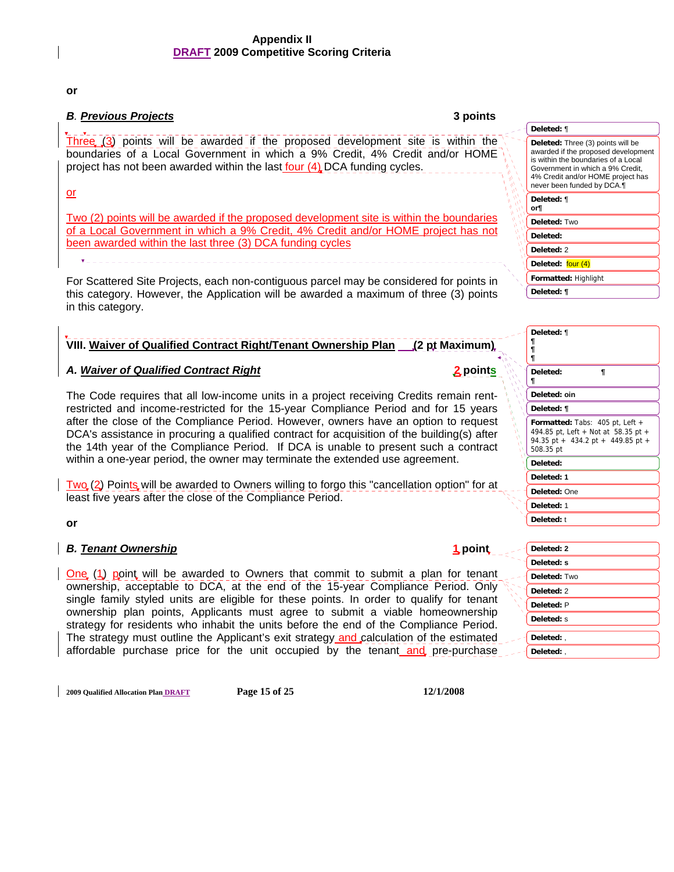**or** 

## *B. Previous Projects* **3 points**

l, Three  $(3)$  points will be awarded if the proposed development site is within the boundaries of a Local Government in which a 9% Credit, 4% Credit and/or HOME project has not been awarded within the last four  $(4)$ , DCA funding cycles.

or

Two (2) points will be awarded if the proposed development site is within the boundaries of a Local Government in which a 9% Credit, 4% Credit and/or HOME project has not been awarded within the last three (3) DCA funding cycles

For Scattered Site Projects, each non-contiguous parcel may be considered for points in this category. However, the Application will be awarded a maximum of three (3) points in this category.

## **VIII. Waiver of Qualified Contract Right/Tenant Ownership Plan (2 pt Maximum)**

## *A. Waiver of Qualified Contract Right* **2 points**

The Code requires that all low-income units in a project receiving Credits remain rentrestricted and income-restricted for the 15-year Compliance Period and for 15 years after the close of the Compliance Period. However, owners have an option to request DCA's assistance in procuring a qualified contract for acquisition of the building(s) after the 14th year of the Compliance Period. If DCA is unable to present such a contract within a one-year period, the owner may terminate the extended use agreement.

Two (2) Points will be awarded to Owners willing to forgo this "cancellation option" for at least five years after the close of the Compliance Period.

**or** 

## *B. Tenant Ownership* **1 point**

One (1) point will be awarded to Owners that commit to submit a plan for tenant ownership, acceptable to DCA, at the end of the 15-year Compliance Period. Only single family styled units are eligible for these points. In order to qualify for tenant ownership plan points, Applicants must agree to submit a viable homeownership strategy for residents who inhabit the units before the end of the Compliance Period. The strategy must outline the Applicant's exit strategy and calculation of the estimated affordable purchase price for the unit occupied by the tenant and pre-purchase

| Deleted: ¶                                                                                                                                                                                                             |
|------------------------------------------------------------------------------------------------------------------------------------------------------------------------------------------------------------------------|
| Deleted: Three (3) points will be<br>awarded if the proposed development<br>is within the boundaries of a Local<br>Government in which a 9% Credit,<br>4% Credit and/or HOME project has<br>never been funded by DCA.¶ |
| Deleted: ¶<br>or¶                                                                                                                                                                                                      |
| Deleted: Two                                                                                                                                                                                                           |
| Deleted:                                                                                                                                                                                                               |
| Deleted: 2                                                                                                                                                                                                             |
| Deleted: four (4)                                                                                                                                                                                                      |
| <b>Formatted: Highlight</b>                                                                                                                                                                                            |
| Deleted: ¶                                                                                                                                                                                                             |

| Deleted:<br>¶<br>¶<br>Deleted: oin<br>Deleted: ¶<br><b>Formatted:</b> Tabs: $405$ pt, Left $+$<br>494.85 pt, Left + Not at 58.35 pt +<br>94.35 pt + 434.2 pt + 449.85 pt +<br>508.35 pt<br>Deleted:<br>Deleted: 1<br>Deleted: One | Deleted: ¶<br>¶<br>ſ |
|-----------------------------------------------------------------------------------------------------------------------------------------------------------------------------------------------------------------------------------|----------------------|
|                                                                                                                                                                                                                                   |                      |
|                                                                                                                                                                                                                                   |                      |
|                                                                                                                                                                                                                                   |                      |
|                                                                                                                                                                                                                                   |                      |
|                                                                                                                                                                                                                                   |                      |
|                                                                                                                                                                                                                                   |                      |
|                                                                                                                                                                                                                                   |                      |
|                                                                                                                                                                                                                                   | Deleted: 1           |
| Deleted: t                                                                                                                                                                                                                        |                      |

| Deleted: 2   |
|--------------|
| Deleted: s   |
| Deleted: Two |
| Deleted: 2   |
| Deleted: P   |
| Deleted: s   |
| Deleted:,    |
| Deleted:,    |
|              |

**2009 Qualified Allocation Plan DRAFT Page 15 of 25 12/1/2008**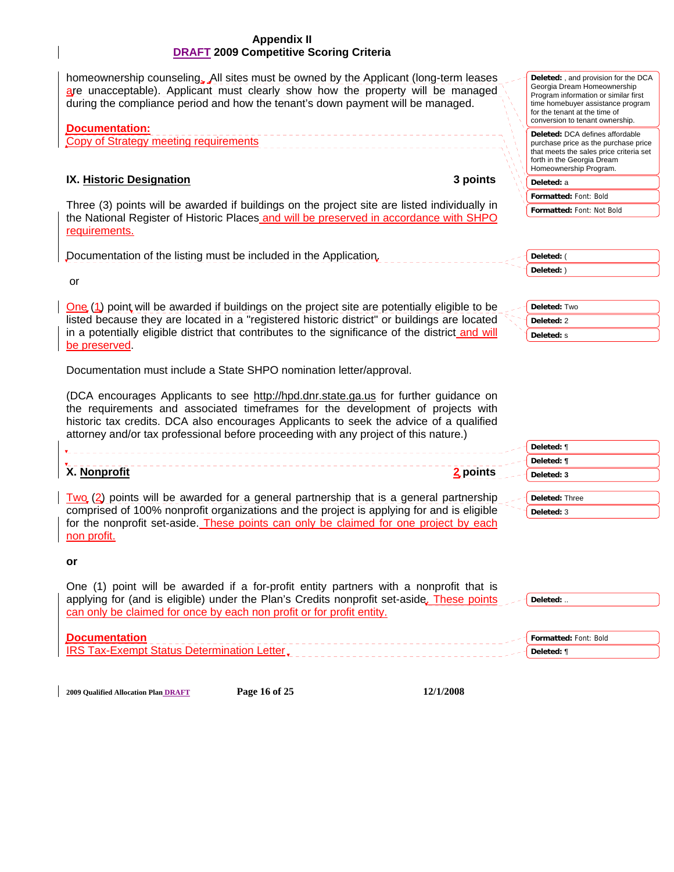| <b>DRAFT 2009 Competitive Scoring Criteria</b>                                                                                                                                                                                                                                                                                                                                                                                   |                                                                                                                                                                                                                             |
|----------------------------------------------------------------------------------------------------------------------------------------------------------------------------------------------------------------------------------------------------------------------------------------------------------------------------------------------------------------------------------------------------------------------------------|-----------------------------------------------------------------------------------------------------------------------------------------------------------------------------------------------------------------------------|
| homeownership counseling. All sites must be owned by the Applicant (long-term leases<br>are unacceptable). Applicant must clearly show how the property will be managed<br>during the compliance period and how the tenant's down payment will be managed.                                                                                                                                                                       | <b>Deleted:</b> , and provision for the DCA<br>Georgia Dream Homeownership<br>Program information or similar first<br>time homebuyer assistance program<br>for the tenant at the time of<br>conversion to tenant ownership. |
| <b>Documentation:</b><br>Copy of Strategy meeting requirements                                                                                                                                                                                                                                                                                                                                                                   | Deleted: DCA defines affordable<br>purchase price as the purchase price<br>that meets the sales price criteria set<br>forth in the Georgia Dream<br>Homeownership Program.                                                  |
| IX. Historic Designation<br>3 points                                                                                                                                                                                                                                                                                                                                                                                             | Deleted: a                                                                                                                                                                                                                  |
| Three (3) points will be awarded if buildings on the project site are listed individually in                                                                                                                                                                                                                                                                                                                                     | Formatted: Font: Bold                                                                                                                                                                                                       |
| the National Register of Historic Places and will be preserved in accordance with SHPO<br>requirements.                                                                                                                                                                                                                                                                                                                          | Formatted: Font: Not Bold                                                                                                                                                                                                   |
| Documentation of the listing must be included in the Application.                                                                                                                                                                                                                                                                                                                                                                | Deleted: (                                                                                                                                                                                                                  |
|                                                                                                                                                                                                                                                                                                                                                                                                                                  | Deleted: )                                                                                                                                                                                                                  |
| or                                                                                                                                                                                                                                                                                                                                                                                                                               |                                                                                                                                                                                                                             |
| One (1) point will be awarded if buildings on the project site are potentially eligible to be                                                                                                                                                                                                                                                                                                                                    | Deleted: Two                                                                                                                                                                                                                |
| listed because they are located in a "registered historic district" or buildings are located                                                                                                                                                                                                                                                                                                                                     | Deleted: 2                                                                                                                                                                                                                  |
| in a potentially eligible district that contributes to the significance of the district and will                                                                                                                                                                                                                                                                                                                                 | Deleted: s                                                                                                                                                                                                                  |
| be preserved.                                                                                                                                                                                                                                                                                                                                                                                                                    |                                                                                                                                                                                                                             |
| Documentation must include a State SHPO nomination letter/approval.<br>(DCA encourages Applicants to see http://hpd.dnr.state.ga.us for further guidance on<br>the requirements and associated timeframes for the development of projects with<br>historic tax credits. DCA also encourages Applicants to seek the advice of a qualified<br>attorney and/or tax professional before proceeding with any project of this nature.) |                                                                                                                                                                                                                             |
|                                                                                                                                                                                                                                                                                                                                                                                                                                  | Deleted: ¶                                                                                                                                                                                                                  |
|                                                                                                                                                                                                                                                                                                                                                                                                                                  | Deleted: ¶                                                                                                                                                                                                                  |
| X. Nonprofit<br>2 points                                                                                                                                                                                                                                                                                                                                                                                                         | Deleted: 3                                                                                                                                                                                                                  |
| $\frac{Tw_{Q}(2)}{Z}$ points will be awarded for a general partnership that is a general partnership                                                                                                                                                                                                                                                                                                                             | Deleted: Three                                                                                                                                                                                                              |
| comprised of 100% nonprofit organizations and the project is applying for and is eligible                                                                                                                                                                                                                                                                                                                                        | Deleted: 3                                                                                                                                                                                                                  |
| for the nonprofit set-aside. These points can only be claimed for one project by each<br>non profit.                                                                                                                                                                                                                                                                                                                             |                                                                                                                                                                                                                             |
| or                                                                                                                                                                                                                                                                                                                                                                                                                               |                                                                                                                                                                                                                             |
| One (1) point will be awarded if a for-profit entity partners with a nonprofit that is<br>applying for (and is eligible) under the Plan's Credits nonprofit set-aside. These points                                                                                                                                                                                                                                              | Deleted:                                                                                                                                                                                                                    |
| can only be claimed for once by each non profit or for profit entity.                                                                                                                                                                                                                                                                                                                                                            |                                                                                                                                                                                                                             |
|                                                                                                                                                                                                                                                                                                                                                                                                                                  |                                                                                                                                                                                                                             |
| <b>Documentation</b><br>IRS Tax-Exempt Status Determination Letter.                                                                                                                                                                                                                                                                                                                                                              | Formatted: Font: Bold                                                                                                                                                                                                       |
|                                                                                                                                                                                                                                                                                                                                                                                                                                  | Deleted: ¶                                                                                                                                                                                                                  |

**Appendix II** 

**2009 Qualified Allocation Plan DRAFT Page 16 of 25 12/1/2008**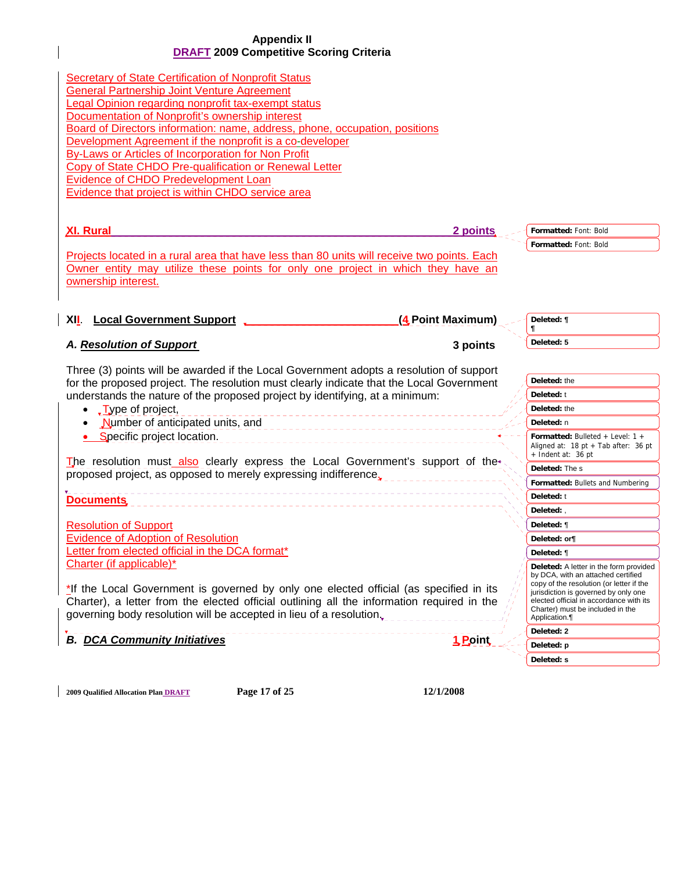**Secretary of State Certification of Nonprofit Status** General Partnership Joint Venture Agreement Legal Opinion regarding nonprofit tax-exempt status Documentation of Nonprofit's ownership interest Board of Directors information: name, address, phone, occupation, positions Development Agreement if the nonprofit is a co-developer By-Laws or Articles of Incorporation for Non Profit Copy of State CHDO Pre-qualification or Renewal Letter Evidence of CHDO Predevelopment Loan Evidence that project is within CHDO service area

| <b>XI. Rural</b>                                                                                                                                                                                                                                                                                                                   | 2 points          | Formatted: Font: Bold                                                                                                                                                                                                                                           |
|------------------------------------------------------------------------------------------------------------------------------------------------------------------------------------------------------------------------------------------------------------------------------------------------------------------------------------|-------------------|-----------------------------------------------------------------------------------------------------------------------------------------------------------------------------------------------------------------------------------------------------------------|
|                                                                                                                                                                                                                                                                                                                                    |                   | Formatted: Font: Bold                                                                                                                                                                                                                                           |
| Projects located in a rural area that have less than 80 units will receive two points. Each                                                                                                                                                                                                                                        |                   |                                                                                                                                                                                                                                                                 |
| Owner entity may utilize these points for only one project in which they have an                                                                                                                                                                                                                                                   |                   |                                                                                                                                                                                                                                                                 |
| ownership interest.                                                                                                                                                                                                                                                                                                                |                   |                                                                                                                                                                                                                                                                 |
|                                                                                                                                                                                                                                                                                                                                    |                   |                                                                                                                                                                                                                                                                 |
| <b>Local Government Support</b><br>XII.                                                                                                                                                                                                                                                                                            | (4 Point Maximum) | Deleted: ¶<br>T                                                                                                                                                                                                                                                 |
| A. Resolution of Support                                                                                                                                                                                                                                                                                                           | 3 points          | Deleted: 5                                                                                                                                                                                                                                                      |
|                                                                                                                                                                                                                                                                                                                                    |                   |                                                                                                                                                                                                                                                                 |
| Three (3) points will be awarded if the Local Government adopts a resolution of support<br>for the proposed project. The resolution must clearly indicate that the Local Government                                                                                                                                                |                   | Deleted: the                                                                                                                                                                                                                                                    |
| understands the nature of the proposed project by identifying, at a minimum:                                                                                                                                                                                                                                                       |                   | Deleted: t                                                                                                                                                                                                                                                      |
| $\sqrt{L}$ ype of project,                                                                                                                                                                                                                                                                                                         |                   | Deleted: the                                                                                                                                                                                                                                                    |
| Number of anticipated units, and                                                                                                                                                                                                                                                                                                   |                   | Deleted: n                                                                                                                                                                                                                                                      |
| • Specific project location.<br>_________________________________                                                                                                                                                                                                                                                                  |                   | <b>Formatted:</b> Bulleted + Level: $1 +$<br>Aligned at: $18 \text{ pt} + \text{ Tab after: } 36 \text{ pt}$                                                                                                                                                    |
| The resolution must also clearly express the Local Government's support of the <sup>*</sup>                                                                                                                                                                                                                                        |                   | $+$ Indent at: 36 pt                                                                                                                                                                                                                                            |
| proposed project, as opposed to merely expressing indifference.                                                                                                                                                                                                                                                                    |                   | Deleted: The s                                                                                                                                                                                                                                                  |
|                                                                                                                                                                                                                                                                                                                                    |                   | Formatted: Bullets and Numbering                                                                                                                                                                                                                                |
| <b>Documents</b>                                                                                                                                                                                                                                                                                                                   |                   | Deleted: t                                                                                                                                                                                                                                                      |
|                                                                                                                                                                                                                                                                                                                                    |                   | Deleted:,                                                                                                                                                                                                                                                       |
| <b>Resolution of Support</b>                                                                                                                                                                                                                                                                                                       |                   | Deleted: ¶                                                                                                                                                                                                                                                      |
| <b>Evidence of Adoption of Resolution</b>                                                                                                                                                                                                                                                                                          |                   | Deleted: orf                                                                                                                                                                                                                                                    |
| Letter from elected official in the DCA format*                                                                                                                                                                                                                                                                                    |                   | Deleted: ¶                                                                                                                                                                                                                                                      |
| Charter (if applicable)*<br>*If the Local Government is governed by only one elected official (as specified in its<br>Charter), a letter from the elected official outlining all the information required in the<br>governing body resolution will be accepted in lieu of a resolution, entity and all all the set of the set of t |                   | Deleted: A letter in the form provided<br>by DCA, with an attached certified<br>copy of the resolution (or letter if the<br>jurisdiction is governed by only one<br>elected official in accordance with its<br>Charter) must be included in the<br>Application. |
| <b>B. DCA Community Initiatives</b>                                                                                                                                                                                                                                                                                                |                   | Deleted: 2                                                                                                                                                                                                                                                      |
|                                                                                                                                                                                                                                                                                                                                    | 1 Point           | Deleted: p                                                                                                                                                                                                                                                      |
|                                                                                                                                                                                                                                                                                                                                    |                   | Deleted: s                                                                                                                                                                                                                                                      |

**2009 Qualified Allocation Plan DRAFT Page 17 of 25 12/1/2008**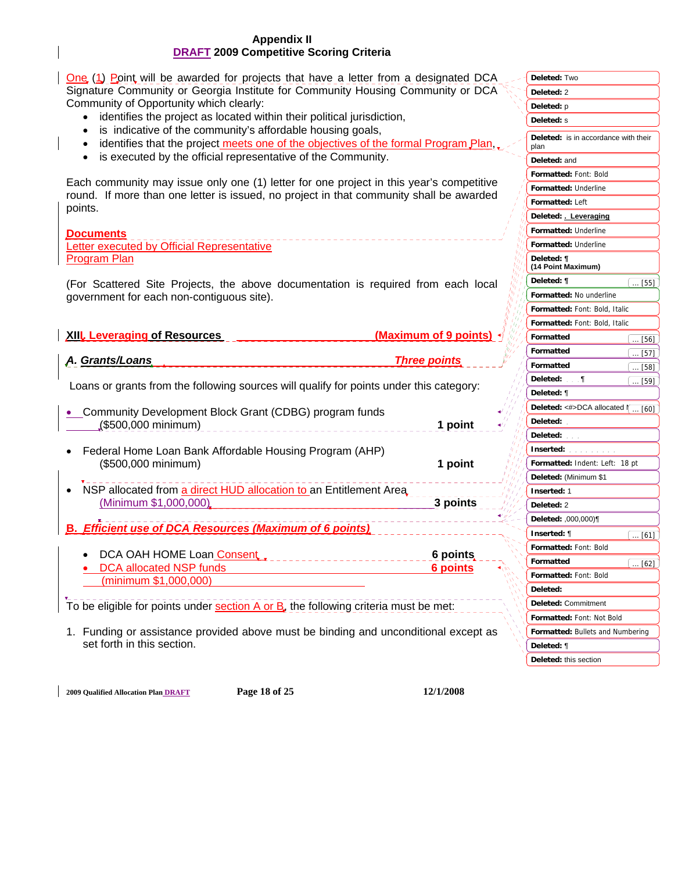One (1) Point will be awarded for projects that have a letter from a designated DCA Signature Community or Georgia Institute for Community Housing Community or DCA Community of Opportunity which clearly:

- identifies the project as located within their political jurisdiction,
- is indicative of the community's affordable housing goals,
- identifies that the project meets one of the objectives of the formal Program Plan,
- is executed by the official representative of the Community.

Each community may issue only one (1) letter for one project in this year's competitive round. If more than one letter is issued, no project in that community shall be awarded points.

#### **Documents**

Letter executed by Official Representative Program Plan

(For Scattered Site Projects, the above documentation is required from each local government for each non-contiguous site).

| <b>XIII. Leveraging of Resources</b> | (Maximum of 9 points) + |
|--------------------------------------|-------------------------|
|                                      |                         |

| A. Grants/Loans |  | <b>Three points</b> |
|-----------------|--|---------------------|
|                 |  |                     |

Loans or grants from the following sources will qualify for points under this category:

| • Community Development Block Grant (CDBG) program funds |         |
|----------------------------------------------------------|---------|
| _(\$500,000 minimum)                                     | 1 point |

- Federal Home Loan Bank Affordable Housing Program (AHP) (\$500,000 minimum) **1 point**
- NSP allocated from a direct HUD allocation to an Entitlement Area. (Minimum \$1,000,000) **3 points**
- **B.** *Efficient use of DCA Resources (Maximum of 6 points)*
	- **DCA OAH HOME Loan Consent 6 points** 6 points • DCA allocated NSP funds **6 points** (minimum \$1,000,000)

To be eligible for points under section A or B, the following criteria must be met:

1. Funding or assistance provided above must be binding and unconditional except as set forth in this section.

**Formatted:** Font: Bold **Formatted:** Underline **Formatted:** Left **Formatted:** Underline **Formatted:** Underline **Formatted:** No underline **Formatted:** Font: Bold, Italic **Formatted:** Font: Bold, Italic **Formatted Formatted Formatted Formatted:** Font: Not Bold **Formatted:** Bullets and Numbering **Formatted:** Indent: Left: 18 pt **Formatted Formatted:** Font: Bold **Formatted:** Font: Bold **Deleted:** Two **Deleted:** 2 **Deleted:** p **Deleted:** s **Deleted:** is in accordance with their plan **Deleted:** and **Deleted: . Leveraging Deleted: ¶ (14 Point Maximum) Deleted: ¶ Deleted:** ¶ **Deleted:** ¶ **Deleted:** <#>DCA allocated  $\Gamma$ **Deleted: Deleted: Inserted: Deleted:** (Minimum \$1 **Inserted:** 1 **Deleted:** 2 **Deleted:** ,000,000)¶ **Inserted:** ¶ **Deleted: Deleted:** Commitment **Deleted:** ¶ **Deleted:** this section ... [56]  $[62]$ ... [61] ... [57] ... [58]  $\overline{[60]}$ ... [59]  $.1551$ 

**2009 Qualified Allocation Plan DRAFT Page 18 of 25 12/1/2008**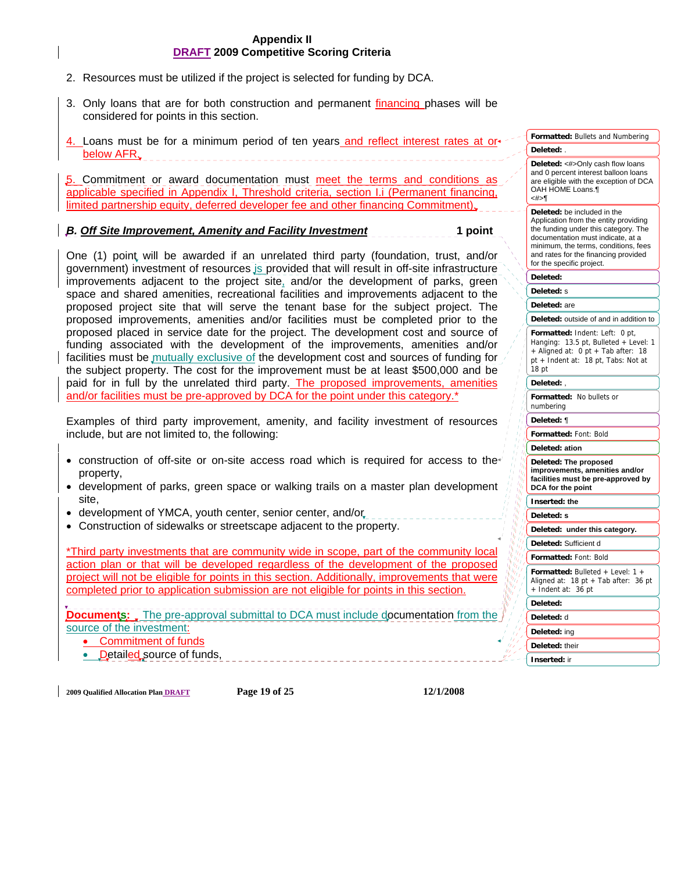- 2. Resources must be utilized if the project is selected for funding by DCA.
- 3. Only loans that are for both construction and permanent financing phases will be considered for points in this section.
- 4. Loans must be for a minimum period of ten years and reflect interest rates at or below AFR.

5. Commitment or award documentation must meet the terms and conditions applicable specified in Appendix I, Threshold criteria, section I.i (Permanent financing, limited partnership equity, deferred developer fee and other financing Commitment).

#### *B. Off Site Improvement, Amenity and Facility Investment* **1 point**

One (1) point will be awarded if an unrelated third party (foundation, trust, and/or government) investment of resources is provided that will result in off-site infrastructure improvements adjacent to the project site, and/or the development of parks, green space and shared amenities, recreational facilities and improvements adjacent to the proposed project site that will serve the tenant base for the subject project. The proposed improvements, amenities and/or facilities must be completed prior to the proposed placed in service date for the project. The development cost and source of funding associated with the development of the improvements, amenities and/or facilities must be mutually exclusive of the development cost and sources of funding for the subject property. The cost for the improvement must be at least \$500,000 and be paid for in full by the unrelated third party. The proposed improvements, amenities and/or facilities must be pre-approved by DCA for the point under this category.\*

Examples of third party improvement, amenity, and facility investment of resources include, but are not limited to, the following:

- construction of off-site or on-site access road which is required for access to the property,
- development of parks, green space or walking trails on a master plan development site,
- development of YMCA, youth center, senior center, and/or
- Construction of sidewalks or streetscape adjacent to the property.

\*Third party investments that are community wide in scope, part of the community local action plan or that will be developed regardless of the development of the proposed project will not be eligible for points in this section. Additionally, improvements that were completed prior to application submission are not eligible for points in this section.

**Documents:** The pre-approval submittal to DCA must include documentation from the source of the investment:

• Commitment of funds

• Detailed source of funds,

**2009 Qualified Allocation Plan DRAFT Page 19 of 25 12/1/2008** 

| and 0 percent interest balloon loans<br>are eligible with the exception of DCA<br>OAH HOME Loans.¶<br><#>¶                                                                                                                                                     |
|----------------------------------------------------------------------------------------------------------------------------------------------------------------------------------------------------------------------------------------------------------------|
| Deleted: be included in the<br>Application from the entity providing<br>the funding under this category. The<br>documentation must indicate, at a<br>minimum, the terms, conditions, fees<br>and rates for the financing provided<br>for the specific project. |
| Deleted:                                                                                                                                                                                                                                                       |
| Deleted: s                                                                                                                                                                                                                                                     |
| Deleted: are                                                                                                                                                                                                                                                   |
| Deleted: outside of and in addition to                                                                                                                                                                                                                         |
| Formatted: Indent: Left: 0 pt,<br>Hanging: 13.5 pt, Bulleted + Level: 1<br>+ Aligned at: 0 pt + Tab after: 18<br>pt + Indent at: 18 pt, Tabs: Not at<br>18 pt                                                                                                  |
| Deleted:,                                                                                                                                                                                                                                                      |
| Formatted: No bullets or<br>numbering                                                                                                                                                                                                                          |
| Deleted: ¶                                                                                                                                                                                                                                                     |
| Formatted: Font: Bold                                                                                                                                                                                                                                          |
| Deleted: ation                                                                                                                                                                                                                                                 |
| Deleted: The proposed<br>improvements, amenities and/or<br>facilities must be pre-approved by<br>DCA for the point                                                                                                                                             |
| Inserted: the                                                                                                                                                                                                                                                  |
| Deleted: s                                                                                                                                                                                                                                                     |
| under this category.<br>Deleted:                                                                                                                                                                                                                               |
| Deleted: Sufficient d                                                                                                                                                                                                                                          |
| Formatted: Font: Bold                                                                                                                                                                                                                                          |
| Formatted: Bulleted + Level: 1 +<br>18 pt + Tab after: $36$ pt<br>Aligned at:<br>+ Indent at: 36 pt                                                                                                                                                            |
| Deleted:                                                                                                                                                                                                                                                       |
| Deleted: d                                                                                                                                                                                                                                                     |
| Deleted: ing                                                                                                                                                                                                                                                   |
| Deleted: their                                                                                                                                                                                                                                                 |
| Inserted: ir                                                                                                                                                                                                                                                   |

**Formatted:** Bullets and Numbering

**Deleted:**  $\lt\#$ >Only cash flow loans

**Deleted:** .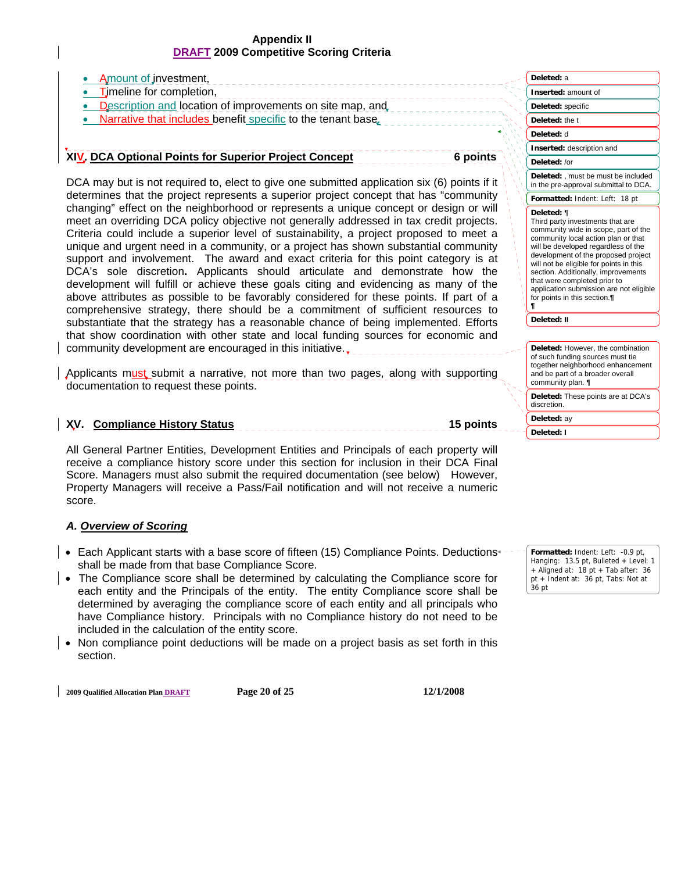| Amount of investment,                                                                                                                                                                                                                                                                                                                                                                                                                                                                                                                                                                                                                                                                                                                                                                                         | Deleted: a                                                                                                                                                                                                                                                                                                                                                                                              |
|---------------------------------------------------------------------------------------------------------------------------------------------------------------------------------------------------------------------------------------------------------------------------------------------------------------------------------------------------------------------------------------------------------------------------------------------------------------------------------------------------------------------------------------------------------------------------------------------------------------------------------------------------------------------------------------------------------------------------------------------------------------------------------------------------------------|---------------------------------------------------------------------------------------------------------------------------------------------------------------------------------------------------------------------------------------------------------------------------------------------------------------------------------------------------------------------------------------------------------|
| Timeline for completion,                                                                                                                                                                                                                                                                                                                                                                                                                                                                                                                                                                                                                                                                                                                                                                                      | Inserted: amount of                                                                                                                                                                                                                                                                                                                                                                                     |
| Description and location of improvements on site map, and                                                                                                                                                                                                                                                                                                                                                                                                                                                                                                                                                                                                                                                                                                                                                     | Deleted: specific                                                                                                                                                                                                                                                                                                                                                                                       |
| Narrative that includes benefit specific to the tenant base.                                                                                                                                                                                                                                                                                                                                                                                                                                                                                                                                                                                                                                                                                                                                                  | Deleted: the t                                                                                                                                                                                                                                                                                                                                                                                          |
|                                                                                                                                                                                                                                                                                                                                                                                                                                                                                                                                                                                                                                                                                                                                                                                                               | Deleted: d                                                                                                                                                                                                                                                                                                                                                                                              |
|                                                                                                                                                                                                                                                                                                                                                                                                                                                                                                                                                                                                                                                                                                                                                                                                               | Inserted: description and                                                                                                                                                                                                                                                                                                                                                                               |
| XIV. DCA Optional Points for Superior Project Concept<br>6 points                                                                                                                                                                                                                                                                                                                                                                                                                                                                                                                                                                                                                                                                                                                                             | Deleted: /or                                                                                                                                                                                                                                                                                                                                                                                            |
| DCA may but is not required to, elect to give one submitted application six (6) points if it                                                                                                                                                                                                                                                                                                                                                                                                                                                                                                                                                                                                                                                                                                                  | Deleted: , must be must be included<br>in the pre-approval submittal to DCA.                                                                                                                                                                                                                                                                                                                            |
| determines that the project represents a superior project concept that has "community                                                                                                                                                                                                                                                                                                                                                                                                                                                                                                                                                                                                                                                                                                                         | Formatted: Indent: Left: 18 pt                                                                                                                                                                                                                                                                                                                                                                          |
| changing" effect on the neighborhood or represents a unique concept or design or will<br>meet an overriding DCA policy objective not generally addressed in tax credit projects.<br>Criteria could include a superior level of sustainability, a project proposed to meet a<br>unique and urgent need in a community, or a project has shown substantial community<br>support and involvement. The award and exact criteria for this point category is at<br>DCA's sole discretion. Applicants should articulate and demonstrate how the<br>development will fulfill or achieve these goals citing and evidencing as many of the<br>above attributes as possible to be favorably considered for these points. If part of a<br>comprehensive strategy, there should be a commitment of sufficient resources to | Deleted: ¶<br>Third party investments that are<br>community wide in scope, part of the<br>community local action plan or that<br>will be developed regardless of the<br>development of the proposed project<br>will not be eligible for points in this<br>section. Additionally, improvements<br>that were completed prior to<br>application submission are not eligible<br>for points in this section. |
| substantiate that the strategy has a reasonable chance of being implemented. Efforts                                                                                                                                                                                                                                                                                                                                                                                                                                                                                                                                                                                                                                                                                                                          | Deleted: II                                                                                                                                                                                                                                                                                                                                                                                             |
| that show coordination with other state and local funding sources for economic and                                                                                                                                                                                                                                                                                                                                                                                                                                                                                                                                                                                                                                                                                                                            |                                                                                                                                                                                                                                                                                                                                                                                                         |
| community development are encouraged in this initiative                                                                                                                                                                                                                                                                                                                                                                                                                                                                                                                                                                                                                                                                                                                                                       | Deleted: However, the combination                                                                                                                                                                                                                                                                                                                                                                       |

Applicants must submit a narrative, not more than two pages, along with supporting documentation to request these points.

### **XV. Compliance History Status 15 points**

All General Partner Entities, Development Entities and Principals of each property will receive a compliance history score under this section for inclusion in their DCA Final Score. Managers must also submit the required documentation (see below) However, Property Managers will receive a Pass/Fail notification and will not receive a numeric score.

#### *A. Overview of Scoring*

- Each Applicant starts with a base score of fifteen (15) Compliance Points. Deductions+ shall be made from that base Compliance Score.
- The Compliance score shall be determined by calculating the Compliance score for each entity and the Principals of the entity. The entity Compliance score shall be determined by averaging the compliance score of each entity and all principals who have Compliance history. Principals with no Compliance history do not need to be included in the calculation of the entity score.
- Non compliance point deductions will be made on a project basis as set forth in this section.

**2009 Qualified Allocation Plan DRAFT Page 20 of 25 12/1/2008** 

Formatted: Indent: Left: -0.9 pt, Hanging: 13.5 pt, Bulleted + Level: 1 + Aligned at: 18 pt + Tab after: 36 pt + Indent at: 36 pt, Tabs: Not at

of such funding sources must tie together neighborhood enhancement and be part of a broader overall

**Deleted:** These points are at DCA's

community plan. ¶

discretion. **Deleted:** ay **Deleted: I**

36 pt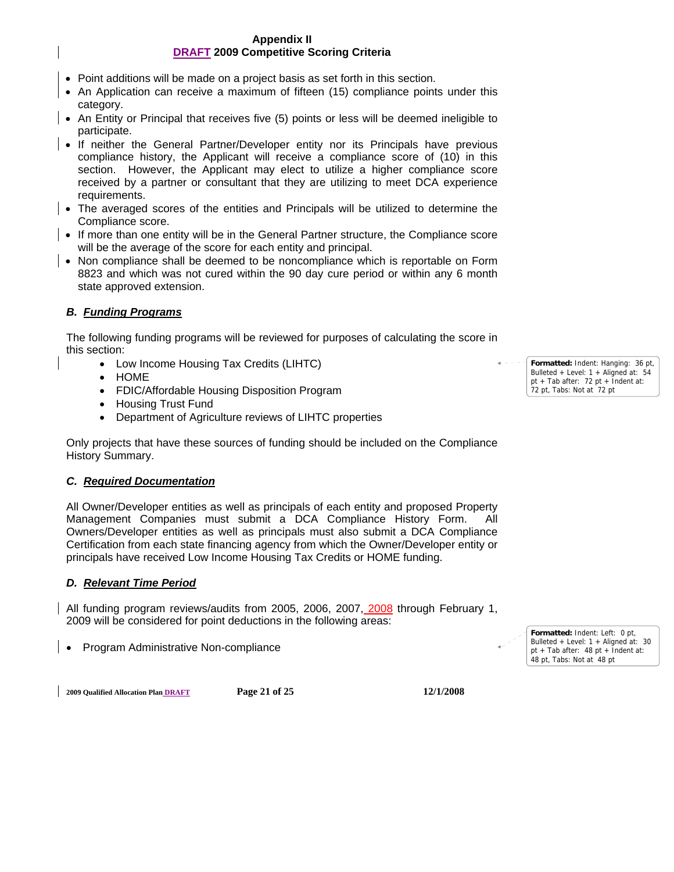- Point additions will be made on a project basis as set forth in this section.
- An Application can receive a maximum of fifteen (15) compliance points under this category.
- An Entity or Principal that receives five (5) points or less will be deemed ineligible to participate.
- If neither the General Partner/Developer entity nor its Principals have previous compliance history, the Applicant will receive a compliance score of (10) in this section. However, the Applicant may elect to utilize a higher compliance score received by a partner or consultant that they are utilizing to meet DCA experience requirements.
- The averaged scores of the entities and Principals will be utilized to determine the Compliance score.
- If more than one entity will be in the General Partner structure, the Compliance score will be the average of the score for each entity and principal.
- Non compliance shall be deemed to be noncompliance which is reportable on Form 8823 and which was not cured within the 90 day cure period or within any 6 month state approved extension.

## *B. Funding Programs*

The following funding programs will be reviewed for purposes of calculating the score in this section:

- Low Income Housing Tax Credits (LIHTC)
- HOME
- FDIC/Affordable Housing Disposition Program
- Housing Trust Fund
- Department of Agriculture reviews of LIHTC properties

Only projects that have these sources of funding should be included on the Compliance History Summary.

#### *C. Required Documentation*

All Owner/Developer entities as well as principals of each entity and proposed Property Management Companies must submit a DCA Compliance History Form. All Owners/Developer entities as well as principals must also submit a DCA Compliance Certification from each state financing agency from which the Owner/Developer entity or principals have received Low Income Housing Tax Credits or HOME funding.

#### *D. Relevant Time Period*

All funding program reviews/audits from 2005, 2006, 2007, 2008 through February 1, 2009 will be considered for point deductions in the following areas:

• Program Administrative Non-compliance

**Formatted:** Indent: Left: 0 pt, Bulleted + Level: 1 + Aligned at: 30 pt + Tab after: 48 pt + Indent at: 48 pt, Tabs: Not at 48 pt

**2009 Qualified Allocation Plan DRAFT Page 21 of 25 12/1/2008** 

**Formatted:** Indent: Hanging: 36 pt, Bulleted + Level: 1 + Aligned at: 54 pt + Tab after: 72 pt + Indent at: 72 pt, Tabs: Not at 72 pt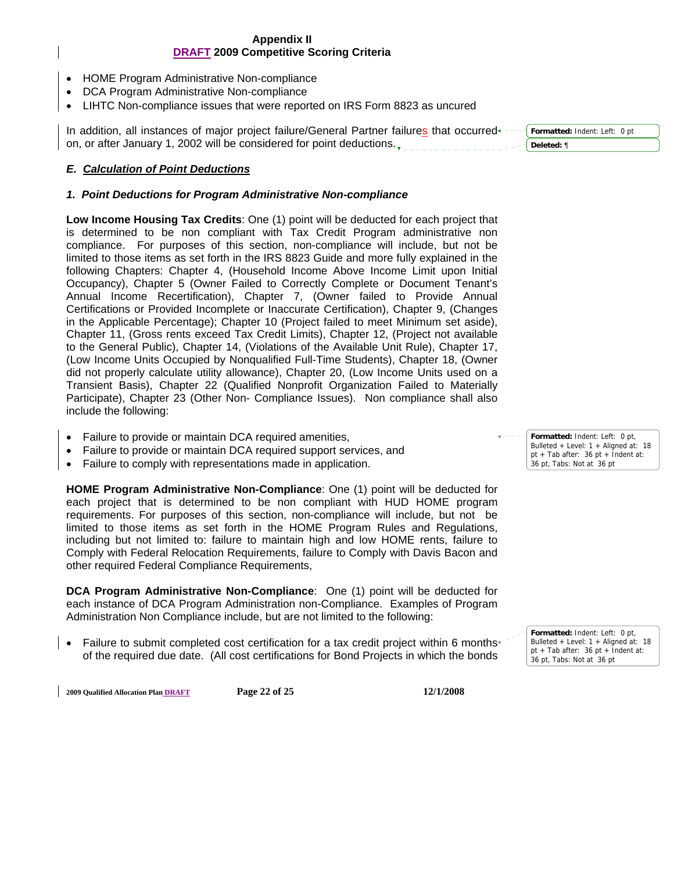- HOME Program Administrative Non-compliance
- DCA Program Administrative Non-compliance
- LIHTC Non-compliance issues that were reported on IRS Form 8823 as uncured

In addition, all instances of major project failure/General Partner failures that occurred on, or after January 1, 2002 will be considered for point deductions. **Formatted:** Indent: Left: 0 pt **Deleted:** ¶

## *E. Calculation of Point Deductions*

#### *1. Point Deductions for Program Administrative Non-compliance*

**Low Income Housing Tax Credits**: One (1) point will be deducted for each project that is determined to be non compliant with Tax Credit Program administrative non compliance. For purposes of this section, non-compliance will include, but not be limited to those items as set forth in the IRS 8823 Guide and more fully explained in the following Chapters: Chapter 4, (Household Income Above Income Limit upon Initial Occupancy), Chapter 5 (Owner Failed to Correctly Complete or Document Tenant's Annual Income Recertification), Chapter 7, (Owner failed to Provide Annual Certifications or Provided Incomplete or Inaccurate Certification), Chapter 9, (Changes in the Applicable Percentage); Chapter 10 (Project failed to meet Minimum set aside), Chapter 11, (Gross rents exceed Tax Credit Limits), Chapter 12, (Project not available to the General Public), Chapter 14, (Violations of the Available Unit Rule), Chapter 17, (Low Income Units Occupied by Nonqualified Full-Time Students), Chapter 18, (Owner did not properly calculate utility allowance), Chapter 20, (Low Income Units used on a Transient Basis), Chapter 22 (Qualified Nonprofit Organization Failed to Materially Participate), Chapter 23 (Other Non- Compliance Issues). Non compliance shall also include the following:

- Failure to provide or maintain DCA required amenities,
- Failure to provide or maintain DCA required support services, and
- Failure to comply with representations made in application.

**HOME Program Administrative Non-Compliance**: One (1) point will be deducted for each project that is determined to be non compliant with HUD HOME program requirements. For purposes of this section, non-compliance will include, but not be limited to those items as set forth in the HOME Program Rules and Regulations, including but not limited to: failure to maintain high and low HOME rents, failure to Comply with Federal Relocation Requirements, failure to Comply with Davis Bacon and other required Federal Compliance Requirements,

**DCA Program Administrative Non-Compliance**: One (1) point will be deducted for each instance of DCA Program Administration non-Compliance. Examples of Program Administration Non Compliance include, but are not limited to the following:

• Failure to submit completed cost certification for a tax credit project within 6 months+ of the required due date. (All cost certifications for Bond Projects in which the bonds

**Formatted:** Indent: Left: 0 pt, Bulleted + Level: 1 + Aligned at: 18 pt + Tab after: 36 pt + Indent at: 36 pt, Tabs: Not at 36 pt

> **Formatted:** Indent: Left: 0 pt, Bulleted + Level: 1 + Aligned at: 18 pt + Tab after: 36 pt + Indent at: 36 pt, Tabs: Not at 36 pt

**2009 Qualified Allocation Plan DRAFT Page 22 of 25 12/1/2008**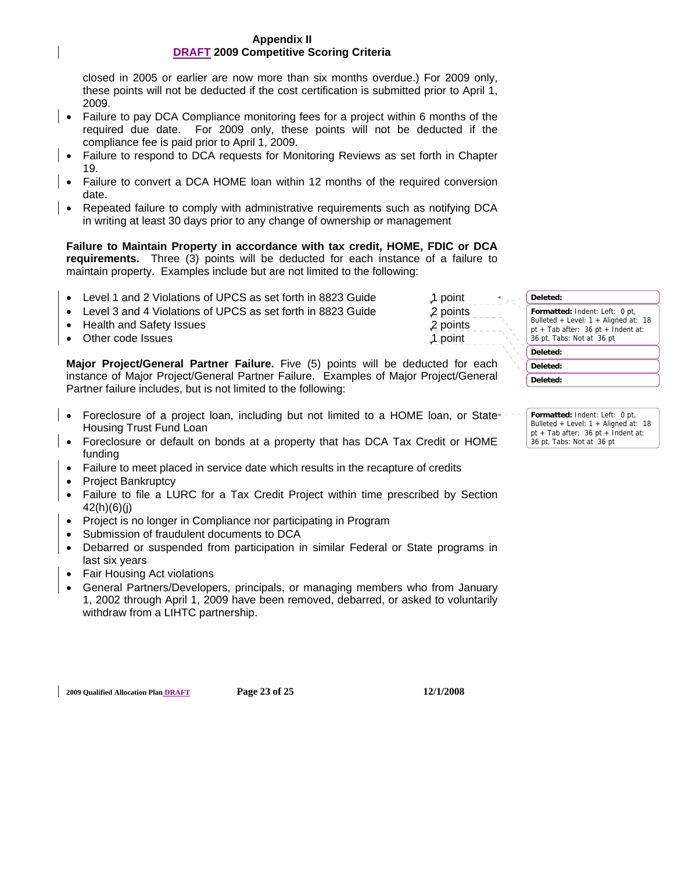closed in 2005 or earlier are now more than six months overdue.) For 2009 only, these points will not be deducted if the cost certification is submitted prior to April 1, 2009.

- Failure to pay DCA Compliance monitoring fees for a project within 6 months of the required due date. For 2009 only, these points will not be deducted if the compliance fee is paid prior to April 1, 2009.
- Failure to respond to DCA requests for Monitoring Reviews as set forth in Chapter 19.
- Failure to convert a DCA HOME loan within 12 months of the required conversion date.
- Repeated failure to comply with administrative requirements such as notifying DCA in writing at least 30 days prior to any change of ownership or management

**Failure to Maintain Property in accordance with tax credit, HOME, FDIC or DCA requirements.** Three (3) points will be deducted for each instance of a failure to maintain property. Examples include but are not limited to the following:

- Level 1 and 2 Violations of UPCS as set forth in 8823 Guide 1 point
- Level 3 and 4 Violations of UPCS as set forth in 8823 Guide 2 points
- Health and Safety Issues 2 points
- Other code Issues 1 point

**Major Project/General Partner Failure.** Five (5) points will be deducted for each instance of Major Project/General Partner Failure. Examples of Major Project/General Partner failure includes, but is not limited to the following:

- Foreclosure of a project loan, including but not limited to a HOME loan, or State Housing Trust Fund Loan
- Foreclosure or default on bonds at a property that has DCA Tax Credit or HOME funding
- Failure to meet placed in service date which results in the recapture of credits
- Project Bankruptcy
- Failure to file a LURC for a Tax Credit Project within time prescribed by Section 42(h)(6)(j)
- Project is no longer in Compliance nor participating in Program
- Submission of fraudulent documents to DCA
- Debarred or suspended from participation in similar Federal or State programs in last six years
- Fair Housing Act violations
- General Partners/Developers, principals, or managing members who from January 1, 2002 through April 1, 2009 have been removed, debarred, or asked to voluntarily withdraw from a LIHTC partnership.

**Formatted:** Indent: Left: 0 pt, Bulleted + Level: 1 + Aligned at: 18 pt + Tab after:  $36$  pt + Indent at: 36 pt, Tabs: Not at 36 pt **Deleted: Deleted: Deleted: Deleted:** 

> **Formatted:** Indent: Left: 0 pt, Bulleted + Level: 1 + Aligned at: 18 pt + Tab after: 36 pt + Indent at: 36 pt, Tabs: Not at 36 pt

**2009 Qualified Allocation Plan DRAFT Page 23 of 25 12/1/2008**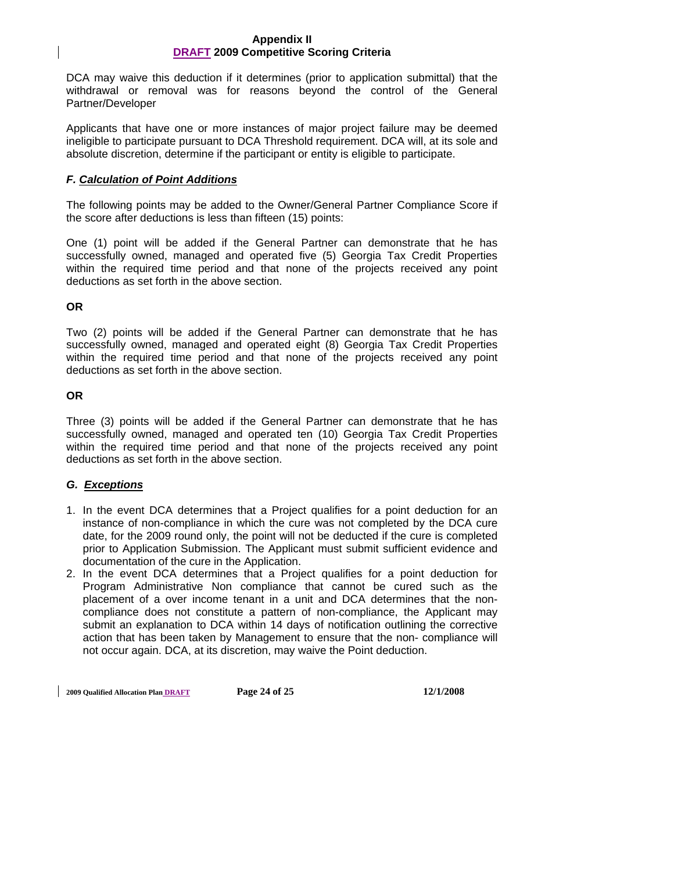DCA may waive this deduction if it determines (prior to application submittal) that the withdrawal or removal was for reasons beyond the control of the General Partner/Developer

Applicants that have one or more instances of major project failure may be deemed ineligible to participate pursuant to DCA Threshold requirement. DCA will, at its sole and absolute discretion, determine if the participant or entity is eligible to participate.

## *F. Calculation of Point Additions*

The following points may be added to the Owner/General Partner Compliance Score if the score after deductions is less than fifteen (15) points:

One (1) point will be added if the General Partner can demonstrate that he has successfully owned, managed and operated five (5) Georgia Tax Credit Properties within the required time period and that none of the projects received any point deductions as set forth in the above section.

## **OR**

Two (2) points will be added if the General Partner can demonstrate that he has successfully owned, managed and operated eight (8) Georgia Tax Credit Properties within the required time period and that none of the projects received any point deductions as set forth in the above section.

## **OR**

Three (3) points will be added if the General Partner can demonstrate that he has successfully owned, managed and operated ten (10) Georgia Tax Credit Properties within the required time period and that none of the projects received any point deductions as set forth in the above section.

## *G. Exceptions*

- 1. In the event DCA determines that a Project qualifies for a point deduction for an instance of non-compliance in which the cure was not completed by the DCA cure date, for the 2009 round only, the point will not be deducted if the cure is completed prior to Application Submission. The Applicant must submit sufficient evidence and documentation of the cure in the Application.
- 2. In the event DCA determines that a Project qualifies for a point deduction for Program Administrative Non compliance that cannot be cured such as the placement of a over income tenant in a unit and DCA determines that the noncompliance does not constitute a pattern of non-compliance, the Applicant may submit an explanation to DCA within 14 days of notification outlining the corrective action that has been taken by Management to ensure that the non- compliance will not occur again. DCA, at its discretion, may waive the Point deduction.

**2009 Qualified Allocation Plan DRAFT Page 24 of 25 12/1/2008**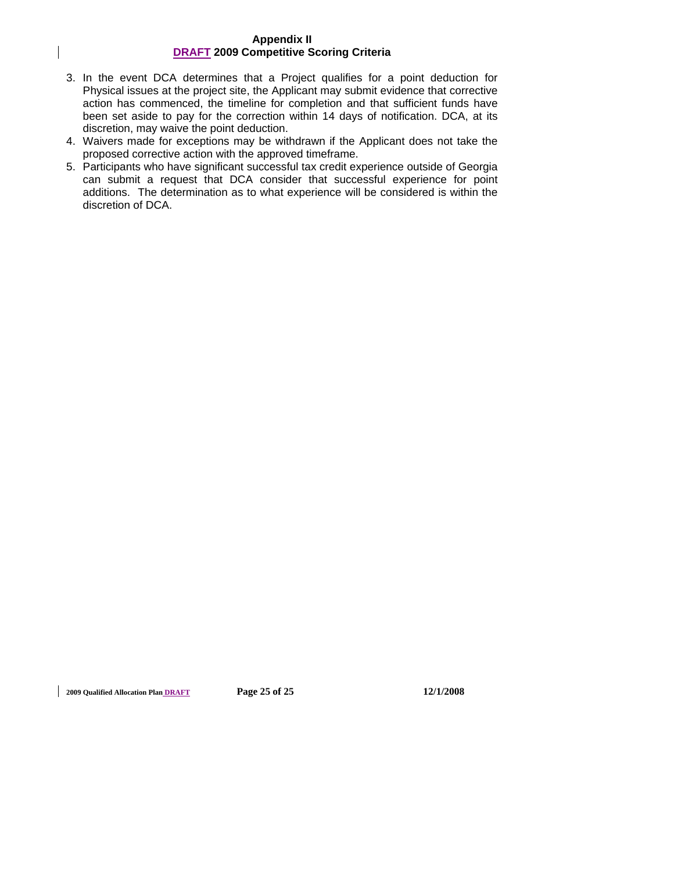- 3. In the event DCA determines that a Project qualifies for a point deduction for Physical issues at the project site, the Applicant may submit evidence that corrective action has commenced, the timeline for completion and that sufficient funds have been set aside to pay for the correction within 14 days of notification. DCA, at its discretion, may waive the point deduction.
- 4. Waivers made for exceptions may be withdrawn if the Applicant does not take the proposed corrective action with the approved timeframe.
- 5. Participants who have significant successful tax credit experience outside of Georgia can submit a request that DCA consider that successful experience for point additions. The determination as to what experience will be considered is within the discretion of DCA.

**2009 Qualified Allocation Plan DRAFT Page 25 of 25 12/1/2008**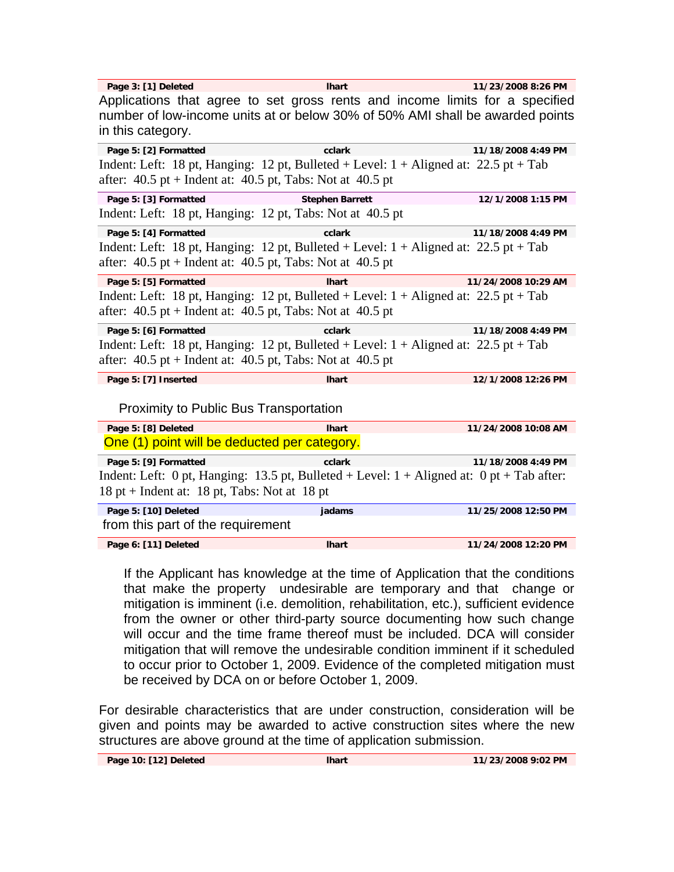| Page 3: [1] Deleted                                                                         | <b>Ihart</b>           | 11/23/2008 8:26 PM  |
|---------------------------------------------------------------------------------------------|------------------------|---------------------|
| Applications that agree to set gross rents and income limits for a specified                |                        |                     |
| number of low-income units at or below 30% of 50% AMI shall be awarded points               |                        |                     |
| in this category.                                                                           |                        |                     |
| Page 5: [2] Formatted                                                                       | cclark                 | 11/18/2008 4:49 PM  |
| Indent: Left: 18 pt, Hanging: 12 pt, Bulleted + Level: $1 +$ Aligned at: 22.5 pt + Tab      |                        |                     |
| after: $40.5$ pt + Indent at: $40.5$ pt, Tabs: Not at $40.5$ pt                             |                        |                     |
| Page 5: [3] Formatted                                                                       | <b>Stephen Barrett</b> | 12/1/2008 1:15 PM   |
| Indent: Left: 18 pt, Hanging: 12 pt, Tabs: Not at 40.5 pt                                   |                        |                     |
| Page 5: [4] Formatted                                                                       | cclark                 | 11/18/2008 4:49 PM  |
| Indent: Left: 18 pt, Hanging: 12 pt, Bulleted + Level: $1 +$ Aligned at: 22.5 pt + Tab      |                        |                     |
| after: $40.5$ pt + Indent at: $40.5$ pt, Tabs: Not at $40.5$ pt                             |                        |                     |
| Page 5: [5] Formatted                                                                       | <b>Ihart</b>           | 11/24/2008 10:29 AM |
| Indent: Left: 18 pt, Hanging: 12 pt, Bulleted + Level: $1 +$ Aligned at: 22.5 pt + Tab      |                        |                     |
| after: $40.5$ pt + Indent at: $40.5$ pt, Tabs: Not at $40.5$ pt                             |                        |                     |
| Page 5: [6] Formatted                                                                       | cclark                 | 11/18/2008 4:49 PM  |
| Indent: Left: 18 pt, Hanging: 12 pt, Bulleted + Level: $1 +$ Aligned at: 22.5 pt + Tab      |                        |                     |
| after: $40.5$ pt + Indent at: $40.5$ pt, Tabs: Not at $40.5$ pt                             |                        |                     |
| Page 5: [7] Inserted                                                                        | <b>Ihart</b>           | 12/1/2008 12:26 PM  |
| <b>Proximity to Public Bus Transportation</b>                                               |                        |                     |
| Page 5: [8] Deleted                                                                         | <b>Ihart</b>           | 11/24/2008 10:08 AM |
|                                                                                             |                        |                     |
| One (1) point will be deducted per category.                                                |                        |                     |
| Page 5: [9] Formatted                                                                       | cclark                 | 11/18/2008 4:49 PM  |
| Indent: Left: 0 pt, Hanging: 13.5 pt, Bulleted + Level: $1 +$ Aligned at: 0 pt + Tab after: |                        |                     |
| 18 pt + Indent at: 18 pt, Tabs: Not at 18 pt                                                |                        |                     |
| Page 5: [10] Deleted                                                                        | jadams                 | 11/25/2008 12:50 PM |
| from this part of the requirement                                                           |                        |                     |

If the Applicant has knowledge at the time of Application that the conditions that make the property undesirable are temporary and that change or mitigation is imminent (i.e. demolition, rehabilitation, etc.), sufficient evidence from the owner or other third-party source documenting how such change will occur and the time frame thereof must be included. DCA will consider mitigation that will remove the undesirable condition imminent if it scheduled to occur prior to October 1, 2009. Evidence of the completed mitigation must be received by DCA on or before October 1, 2009.

For desirable characteristics that are under construction, consideration will be given and points may be awarded to active construction sites where the new structures are above ground at the time of application submission.

| Page 10: [12] Deleted | <b>Ihart</b> | 11/23/2008 9:02 PM |
|-----------------------|--------------|--------------------|
|                       |              |                    |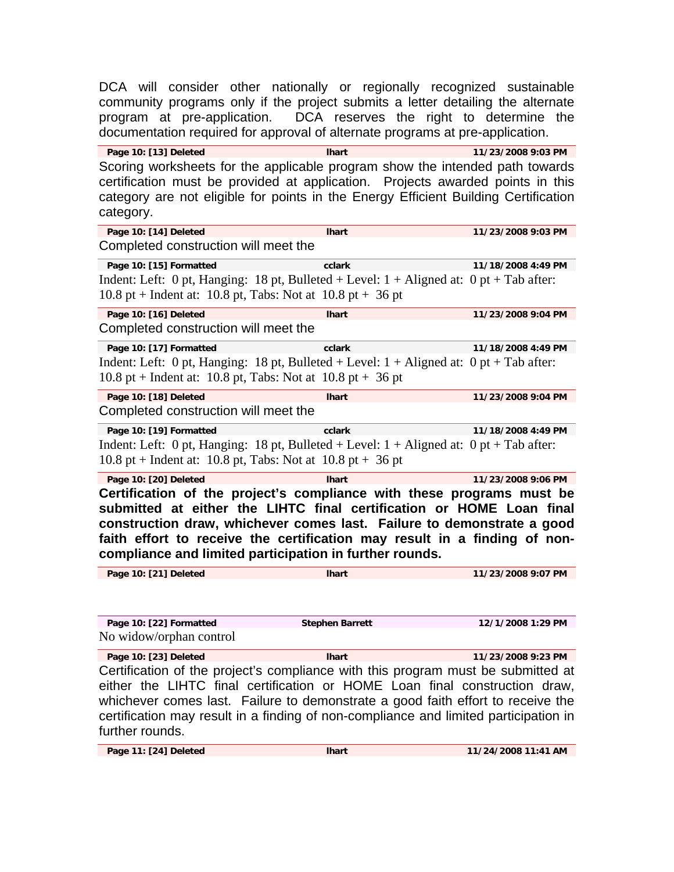DCA will consider other nationally or regionally recognized sustainable community programs only if the project submits a letter detailing the alternate program at pre-application. DCA reserves the right to determine the documentation required for approval of alternate programs at pre-application.

**Page 10: [13] Deleted lhart 11/23/2008 9:03 PM**  Scoring worksheets for the applicable program show the intended path towards certification must be provided at application. Projects awarded points in this category are not eligible for points in the Energy Efficient Building Certification category.

**Page 10: [14] Deleted lhart 11/23/2008 9:03 PM**  Completed construction will meet the

**Page 10: [15] Formatted cclark 11/18/2008 4:49 PM**  Indent: Left: 0 pt, Hanging: 18 pt, Bulleted + Level:  $1 +$  Aligned at: 0 pt + Tab after: 10.8 pt + Indent at: 10.8 pt, Tabs: Not at  $10.8$  pt + 36 pt

**Page 10: [16] Deleted lhart 11/23/2008 9:04 PM**  Completed construction will meet the

**Page 10: [17] Formatted cclark 11/18/2008 4:49 PM**  Indent: Left: 0 pt, Hanging: 18 pt, Bulleted + Level:  $1 +$  Aligned at: 0 pt + Tab after: 10.8 pt + Indent at: 10.8 pt, Tabs: Not at  $10.8$  pt + 36 pt

Page 10: [18] Deleted **11/23/2008 9:04 PM Intractional intervalse of the late of the late of the late of the late of the late of the late of the late of the late of the late of the late of the late of the late of the lat** Completed construction will meet the

**Page 10: [19] Formatted cclark 11/18/2008 4:49 PM**  Indent: Left: 0 pt, Hanging: 18 pt, Bulleted + Level:  $1 +$  Aligned at: 0 pt + Tab after: 10.8 pt + Indent at: 10.8 pt, Tabs: Not at  $10.8$  pt + 36 pt

**Page 10: [20] Deleted lhart 11/23/2008 9:06 PM Certification of the project's compliance with these programs must be submitted at either the LIHTC final certification or HOME Loan final construction draw, whichever comes last. Failure to demonstrate a good faith effort to receive the certification may result in a finding of noncompliance and limited participation in further rounds.** 

**Page 10: [21] Deleted lhart 11/23/2008 9:07 PM** 

**Page 10: [22] Formatted Stephen Barrett 12/1/2008 1:29 PM**  No widow/orphan control

**Page 10: [23] Deleted lhart 11/23/2008 9:23 PM**  Certification of the project's compliance with this program must be submitted at either the LIHTC final certification or HOME Loan final construction draw, whichever comes last. Failure to demonstrate a good faith effort to receive the certification may result in a finding of non-compliance and limited participation in further rounds.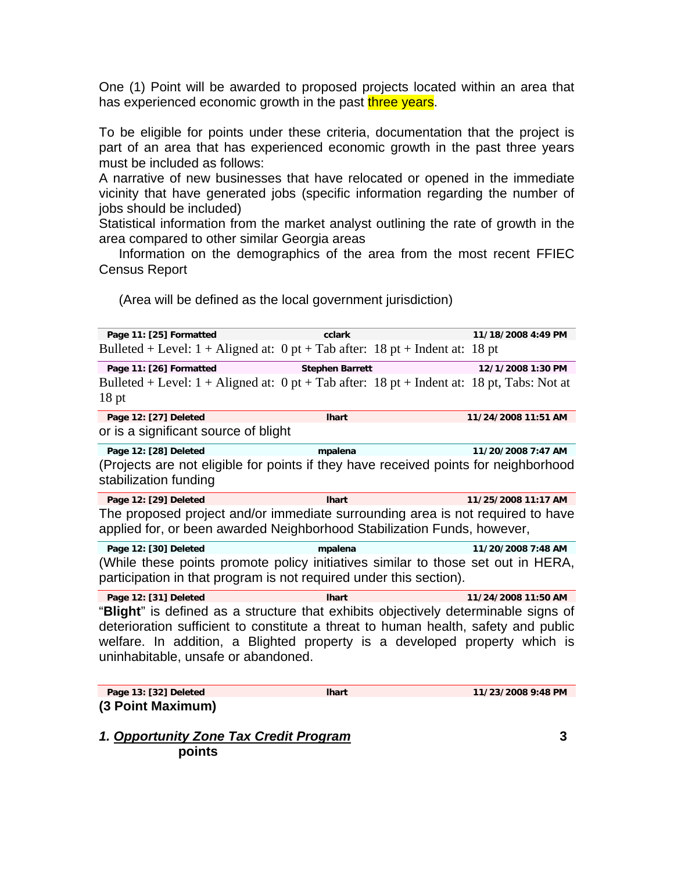One (1) Point will be awarded to proposed projects located within an area that has experienced economic growth in the past three years.

To be eligible for points under these criteria, documentation that the project is part of an area that has experienced economic growth in the past three years must be included as follows:

A narrative of new businesses that have relocated or opened in the immediate vicinity that have generated jobs (specific information regarding the number of jobs should be included)

Statistical information from the market analyst outlining the rate of growth in the area compared to other similar Georgia areas

 Information on the demographics of the area from the most recent FFIEC Census Report

(Area will be defined as the local government jurisdiction)

| Page 11: [25] Formatted                                                                                                                                   | cclark                 | 11/18/2008 4:49 PM  |  |
|-----------------------------------------------------------------------------------------------------------------------------------------------------------|------------------------|---------------------|--|
| Bulleted + Level: $1 +$ Aligned at: 0 pt + Tab after: 18 pt + Indent at: 18 pt                                                                            |                        |                     |  |
| Page 11: [26] Formatted                                                                                                                                   | <b>Stephen Barrett</b> | 12/1/2008 1:30 PM   |  |
| Bulleted + Level: $1 +$ Aligned at: 0 pt + Tab after: 18 pt + Indent at: 18 pt, Tabs: Not at<br>$18$ pt                                                   |                        |                     |  |
| Page 12: [27] Deleted                                                                                                                                     | <b>Ihart</b>           | 11/24/2008 11:51 AM |  |
| or is a significant source of blight                                                                                                                      |                        |                     |  |
| Page 12: [28] Deleted                                                                                                                                     | mpalena                | 11/20/2008 7:47 AM  |  |
| (Projects are not eligible for points if they have received points for neighborhood<br>stabilization funding                                              |                        |                     |  |
| Page 12: [29] Deleted                                                                                                                                     | <b>Ihart</b>           | 11/25/2008 11:17 AM |  |
| The proposed project and/or immediate surrounding area is not required to have<br>applied for, or been awarded Neighborhood Stabilization Funds, however, |                        |                     |  |
| Page 12: [30] Deleted                                                                                                                                     | mpalena                | 11/20/2008 7:48 AM  |  |
| (While these points promote policy initiatives similar to those set out in HERA,<br>participation in that program is not required under this section).    |                        |                     |  |

**Page 12: [31] Deleted lhart 11/24/2008 11:50 AM**  "**Blight**" is defined as a structure that exhibits objectively determinable signs of deterioration sufficient to constitute a threat to human health, safety and public welfare. In addition, a Blighted property is a developed property which is uninhabitable, unsafe or abandoned.

**Page 13: [32] Deleted lhart 11/23/2008 9:48 PM (3 Point Maximum)** 

*1. Opportunity Zone Tax Credit Program* **3 points**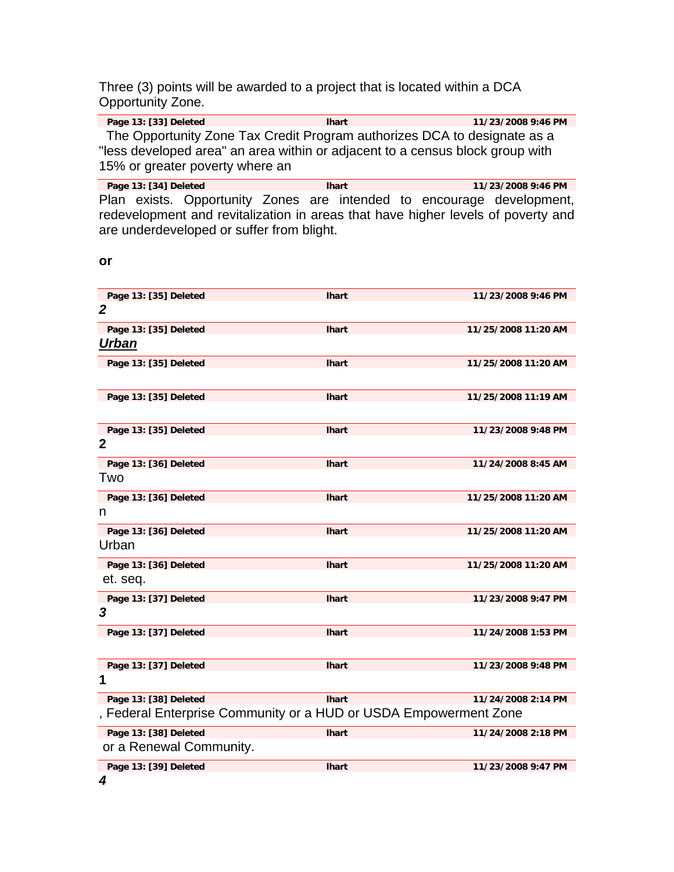Three (3) points will be awarded to a project that is located within a DCA Opportunity Zone.

Page 13: [33] Deleted **and Hart lhart** 11/23/2008 9:46 PM The Opportunity Zone Tax Credit Program authorizes DCA to designate as a "less developed area" an area within or adjacent to a census block group with 15% or greater poverty where an

Page 13: [34] Deleted **and Contact Library Contact Library 11/23/2008 9:46 PM** Plan exists. Opportunity Zones are intended to encourage development, redevelopment and revitalization in areas that have higher levels of poverty and are underdeveloped or suffer from blight.

**or** 

| Page 13: [35] Deleted                                            | <b>Ihart</b> | 11/23/2008 9:46 PM  |
|------------------------------------------------------------------|--------------|---------------------|
| $\boldsymbol{2}$                                                 |              |                     |
| Page 13: [35] Deleted                                            | <b>Ihart</b> | 11/25/2008 11:20 AM |
| Urban                                                            |              |                     |
| Page 13: [35] Deleted                                            | <b>Ihart</b> | 11/25/2008 11:20 AM |
|                                                                  |              |                     |
| Page 13: [35] Deleted                                            | <b>Ihart</b> | 11/25/2008 11:19 AM |
|                                                                  |              |                     |
| Page 13: [35] Deleted                                            | <b>Ihart</b> | 11/23/2008 9:48 PM  |
| $\boldsymbol{2}$                                                 |              |                     |
| Page 13: [36] Deleted                                            | <b>Ihart</b> | 11/24/2008 8:45 AM  |
| Two                                                              |              |                     |
| Page 13: [36] Deleted                                            | <b>Ihart</b> | 11/25/2008 11:20 AM |
| n                                                                |              |                     |
| Page 13: [36] Deleted                                            | <b>Ihart</b> | 11/25/2008 11:20 AM |
| Urban                                                            |              |                     |
| Page 13: [36] Deleted                                            | <b>Ihart</b> | 11/25/2008 11:20 AM |
| et. seq.                                                         |              |                     |
| Page 13: [37] Deleted                                            | <b>Ihart</b> | 11/23/2008 9:47 PM  |
| 3                                                                |              |                     |
| Page 13: [37] Deleted                                            | <b>Ihart</b> | 11/24/2008 1:53 PM  |
|                                                                  |              |                     |
| Page 13: [37] Deleted                                            | <b>Ihart</b> | 11/23/2008 9:48 PM  |
| 1                                                                |              |                     |
| Page 13: [38] Deleted                                            | <b>Ihart</b> | 11/24/2008 2:14 PM  |
| , Federal Enterprise Community or a HUD or USDA Empowerment Zone |              |                     |
| Page 13: [38] Deleted                                            | <b>Ihart</b> | 11/24/2008 2:18 PM  |
| or a Renewal Community.                                          |              |                     |
| Page 13: [39] Deleted                                            | <b>Ihart</b> | 11/23/2008 9:47 PM  |
|                                                                  |              |                     |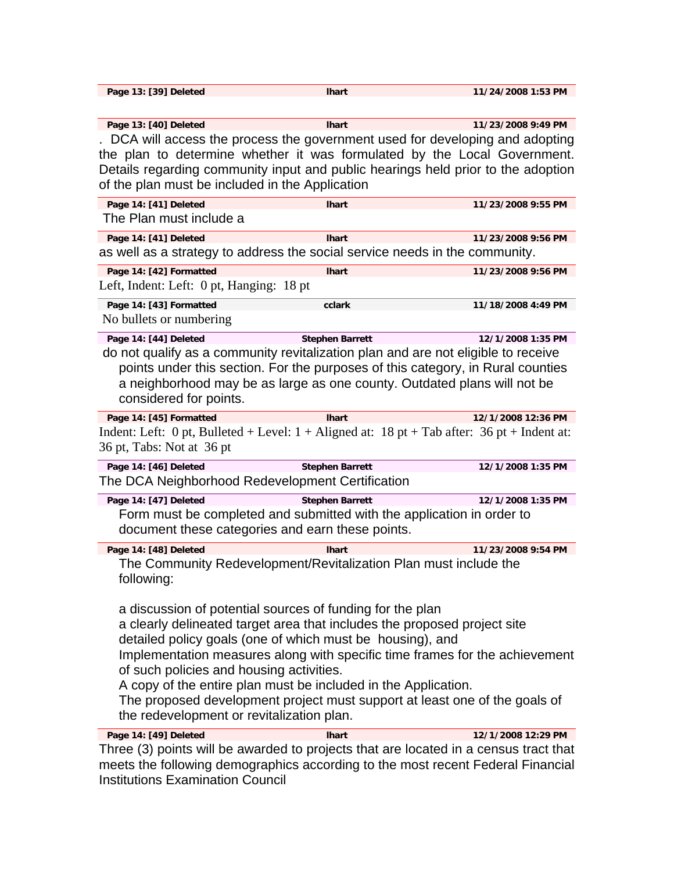| Page 13: [39] Deleted                                                                         | <b>Ihart</b>           | 11/24/2008 1:53 PM                                                              |
|-----------------------------------------------------------------------------------------------|------------------------|---------------------------------------------------------------------------------|
|                                                                                               |                        |                                                                                 |
| Page 13: [40] Deleted                                                                         | <b>Ihart</b>           | 11/23/2008 9:49 PM                                                              |
| . DCA will access the process the government used for developing and adopting                 |                        |                                                                                 |
| the plan to determine whether it was formulated by the Local Government.                      |                        |                                                                                 |
| Details regarding community input and public hearings held prior to the adoption              |                        |                                                                                 |
| of the plan must be included in the Application                                               |                        |                                                                                 |
| Page 14: [41] Deleted                                                                         | <b>Ihart</b>           | 11/23/2008 9:55 PM                                                              |
| The Plan must include a                                                                       |                        |                                                                                 |
| Page 14: [41] Deleted                                                                         | <b>Ihart</b>           | 11/23/2008 9:56 PM                                                              |
| as well as a strategy to address the social service needs in the community.                   |                        |                                                                                 |
| Page 14: [42] Formatted                                                                       | <b>Ihart</b>           | 11/23/2008 9:56 PM                                                              |
| Left, Indent: Left: 0 pt, Hanging: 18 pt                                                      |                        |                                                                                 |
| Page 14: [43] Formatted                                                                       | cclark                 | 11/18/2008 4:49 PM                                                              |
| No bullets or numbering                                                                       |                        |                                                                                 |
| Page 14: [44] Deleted                                                                         | <b>Stephen Barrett</b> | 12/1/2008 1:35 PM                                                               |
| do not qualify as a community revitalization plan and are not eligible to receive             |                        |                                                                                 |
|                                                                                               |                        | points under this section. For the purposes of this category, in Rural counties |
| a neighborhood may be as large as one county. Outdated plans will not be                      |                        |                                                                                 |
| considered for points.                                                                        |                        |                                                                                 |
| Page 14: [45] Formatted                                                                       | <b>Ihart</b>           | 12/1/2008 12:36 PM                                                              |
| Indent: Left: 0 pt, Bulleted + Level: $1 +$ Aligned at: 18 pt + Tab after: 36 pt + Indent at: |                        |                                                                                 |
| 36 pt, Tabs: Not at 36 pt                                                                     |                        |                                                                                 |
| Page 14: [46] Deleted                                                                         | <b>Stephen Barrett</b> | 12/1/2008 1:35 PM                                                               |
| The DCA Neighborhood Redevelopment Certification                                              |                        |                                                                                 |
| Page 14: [47] Deleted                                                                         | <b>Stephen Barrett</b> | 12/1/2008 1:35 PM                                                               |
| Form must be completed and submitted with the application in order to                         |                        |                                                                                 |
| document these categories and earn these points.                                              |                        |                                                                                 |
| Page 14: [48] Deleted                                                                         | <b>Ihart</b>           | 11/23/2008 9:54 PM                                                              |
| The Community Redevelopment/Revitalization Plan must include the                              |                        |                                                                                 |
| following:                                                                                    |                        |                                                                                 |
| a discussion of potential sources of funding for the plan                                     |                        |                                                                                 |
| a clearly delineated target area that includes the proposed project site                      |                        |                                                                                 |
| detailed policy goals (one of which must be housing), and                                     |                        |                                                                                 |
|                                                                                               |                        | Implementation measures along with specific time frames for the achievement     |
| of such policies and housing activities.                                                      |                        |                                                                                 |
| A copy of the entire plan must be included in the Application.                                |                        |                                                                                 |
| The proposed development project must support at least one of the goals of                    |                        |                                                                                 |
| the redevelopment or revitalization plan.                                                     |                        |                                                                                 |
| Page 14: [49] Deleted                                                                         | <b>Ihart</b>           | 12/1/2008 12:29 PM                                                              |
| Three (3) points will be awarded to projects that are located in a census tract that          |                        |                                                                                 |
| meets the following demographics according to the most recent Federal Financial               |                        |                                                                                 |

Institutions Examination Council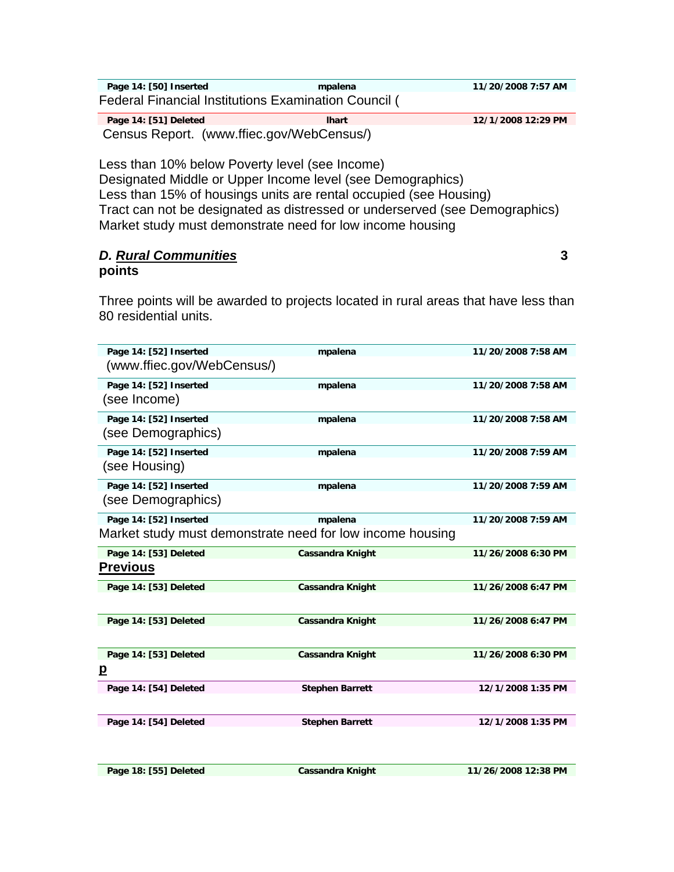| Page 14: [50] Inserted                               | mpalena      | 11/20/2008 7:57 AM |  |
|------------------------------------------------------|--------------|--------------------|--|
| Federal Financial Institutions Examination Council ( |              |                    |  |
| Page 14: [51] Deleted                                | <b>Ihart</b> | 12/1/2008 12:29 PM |  |

Census Report. (www.ffiec.gov/WebCensus/)

Less than 10% below Poverty level (see Income) Designated Middle or Upper Income level (see Demographics) Less than 15% of housings units are rental occupied (see Housing) Tract can not be designated as distressed or underserved (see Demographics) Market study must demonstrate need for low income housing

## *D. Rural Communities* **3 points**

Three points will be awarded to projects located in rural areas that have less than 80 residential units.

| Page 14: [52] Inserted<br>(www.ffiec.gov/WebCensus/)      | mpalena                 | 11/20/2008 7:58 AM |
|-----------------------------------------------------------|-------------------------|--------------------|
|                                                           |                         |                    |
| Page 14: [52] Inserted                                    | mpalena                 | 11/20/2008 7:58 AM |
| (see Income)                                              |                         |                    |
| Page 14: [52] Inserted                                    | mpalena                 | 11/20/2008 7:58 AM |
| (see Demographics)                                        |                         |                    |
| Page 14: [52] Inserted                                    | mpalena                 | 11/20/2008 7:59 AM |
| (see Housing)                                             |                         |                    |
| Page 14: [52] Inserted                                    | mpalena                 | 11/20/2008 7:59 AM |
| (see Demographics)                                        |                         |                    |
| Page 14: [52] Inserted                                    | mpalena                 | 11/20/2008 7:59 AM |
| Market study must demonstrate need for low income housing |                         |                    |
| Page 14: [53] Deleted                                     | <b>Cassandra Knight</b> | 11/26/2008 6:30 PM |
| <b>Previous</b>                                           |                         |                    |
| Page 14: [53] Deleted                                     | <b>Cassandra Knight</b> | 11/26/2008 6:47 PM |
|                                                           |                         |                    |
| Page 14: [53] Deleted                                     | <b>Cassandra Knight</b> | 11/26/2008 6:47 PM |
|                                                           |                         |                    |
| Page 14: [53] Deleted                                     | <b>Cassandra Knight</b> | 11/26/2008 6:30 PM |
| p                                                         |                         |                    |
| Page 14: [54] Deleted                                     | <b>Stephen Barrett</b>  | 12/1/2008 1:35 PM  |
|                                                           |                         |                    |
| Page 14: [54] Deleted                                     | <b>Stephen Barrett</b>  | 12/1/2008 1:35 PM  |
|                                                           |                         |                    |